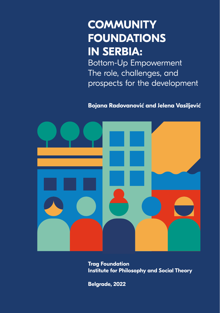## **COMMUNITY FOUNDATIONS IN SERBIA:**

Bottom-Up Empowerment The role, challenges, and prospects for the development

**Bojana Radovanović and Jelena Vasiljević**



**Trag Foundation Institute for Philosophy and Social Theory** 

**Belgrade, 2022**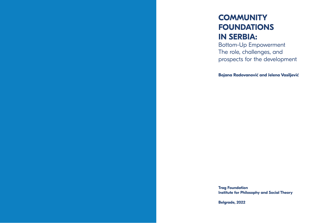## **COMMUNITY FOUNDATIONS IN SERBIA:**

Bottom-Up Empowerment The role, challenges, and prospects for the development

**Bojana Radovanović and Jelena Vasiljević**

**Trag Foundation Institute for Philosophy and Social Theory** 

**Belgrade, 2022**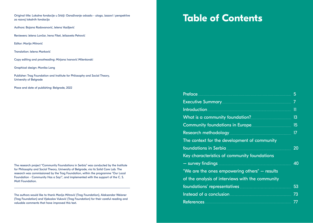Original title: Lokalne fondacije u Srbiji: Osnaživanje odozdo - uloga, izazovi i perspektive za razvoj lokalnih fondacija

Authors: Bojana Radovanović, Jelena Vasiljević

Reviewers: Jelena Lončar, Irena Fiket, Jelisaveta Petrović

Editor: Marija Mitrović

Translation: Jelena Marković

Copy editing and proofreading: Mirjana Ivanović Milenkovski

Graphical design: Monika Lang

Publisher: Trag Foundation and Institute for Philosophy and Social Theory, University of Belgrade

Place and date of publishing: Belgrade, 2022

The research project "Community Foundations in Serbia" was conducted by the Institute for Philosophy and Social Theory, University of Belgrade, via its Solid Care Lab. The research was commissioned by the Trag Foundation, within the programme "Our Local Foundation - Community Has a Say!", and implemented with the support of the C. S. Mott Foundation.

The authors would like to thank Marija Mitrović (Trag Foundation), Aleksandar Weisner (Trag Foundation) and Vjekoslav Vuković (Trag Foundation) for their careful reading and valuable comments that have improved this text.

# **Table of Contents**

|                                                      | П  |
|------------------------------------------------------|----|
|                                                      | 13 |
|                                                      | 15 |
|                                                      | 17 |
| The context for the development of community         |    |
|                                                      | 20 |
| Key characteristics of community foundations         |    |
|                                                      | 40 |
| "We are the ones empowering others" – results        |    |
| of the analysis of interviews with the community     |    |
|                                                      | 53 |
| Instead of a conclusion <b>Manual Accord 2018</b> 73 |    |
|                                                      |    |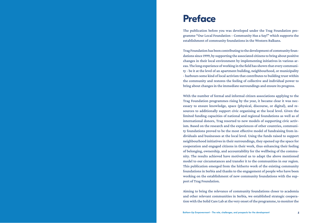## <span id="page-3-0"></span>**Preface**

The publication before you was developed under the Trag Foundation programme "Our Local Foundation – Community Has a Say!" which supports the establishment of community foundations in the Western Balkans.

Trag Foundation has been contributing to the development of community foundations since 1999, by supporting the associated citizens to bring about positive changes in their local environment by implementing initiatives in various areas. The long experience of working in the field has shown that every community - be it at the level of an apartment building, neighbourhood, or municipality - harbours some kind of local activism that contributes to building trust within the community and restores the feeling of collective and individual power to bring about changes in the immediate surroundings and ensure its progress.

With the number of formal and informal citizen associations applying to the Trag Foundation programmes rising by the year, it became clear it was necessary to ensure knowledge, space (physical, discourse, or digital), and resources to additionally support civic organising at the local level. Given the limited funding capacities of national and regional foundations as well as of international donors, Trag resorted to new models of supporting civic activism. Based on the research and the experiences of other countries, community foundations proved to be the most effective model of fundraising from individuals and businesses at the local level. Using the funds raised to support neighbourhood initiatives in their surroundings, they opened up the space for cooperation and engaged citizens in their work, thus enhancing their feeling of belonging, ownership, and accountability for the wellbeing of the community. The results achieved have motivated us to adapt the above mentioned model to our circumstances and transfer it to the communities in our region. This publication emerged from the hitherto work of the existing community foundations in Serbia and thanks to the engagement of people who have been working on the establishment of new community foundations with the support of Trag Foundation.

Aiming to bring the relevance of community foundations closer to academia and other relevant communities in Serbia, we established strategic cooperation with the Solid Care Lab at the very onset of the programme, to monitor the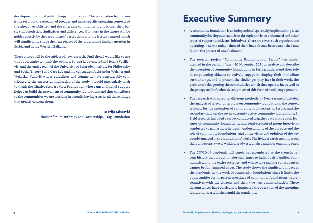<span id="page-4-0"></span>development of local philanthropy in our region. The publication before you is the result of the research of broader and more specific operating contexts of the already established and the emerging community foundations, their basic characteristics, similarities and differences. Our work in the future will be guided mostly by the respondents' perceptions and the lessons learned which will significantly shape the next phases of the programme implementation in Serbia and in the Western Balkans.

These phases will be the subject of new research. Until then, I would like to use this opportunity to thank the authors, Bojana Radovanović and Jelena Vasiljević, and the entire team of the University of Belgrade, Institute for Philosophy and Social Theory Solid Care Lab and my colleagues, Aleksandar Weisner and Vjekoslav Vuković whose guidelines and comments have considerably contributed to the successful finalisation of the study. I would particularly wish to thank the Charles Stewart Mott Foundation whose unconditional support helped us build the movement of community foundations and thus contribute to the communities we are working in actually having a say in all those things that greatly concern them.

#### Marija Mitrović

Director for Philanthropy and Partnerships, Trag Foundation

## **Executive Summary**

- A community foundation is an independent legal entity implementing local community development activities through provision of financial and other types of support to citizens' initiatives. There are seven such organisations operating in Serbia today - three of them have already been established and four in the process of establishment.
- The research project "Community Foundations in Serbia" was implemented in the period 1 June - 30 November 2021 to analyse and describe the operation of community foundations in Serbia, understand their role in empowering citizens to actively engage in shaping their immediate surroundings, and to present the challenges they face in their work, the problems beleaguering the communities which they operate in, as well as the prospects for further development of this form of social engagement.
- The research was based on different methods: 1) Desk research included the analysis of relevant literature on community foundations, the context relevant for the operation of community foundations in Serbia, and the secondary data on the seven currently active community foundations; 2) Field research included a survey conducted to gather data on the basic features of community foundations, and semi-structured group interviews conducted to gain a more in-depth understanding of the purpose and the role of community foundations, and of the views and opinions of the key people engaged in the foundations' work. The field research encompassed six foundations, two of which already established and four emerging ones.
- The COVID-19 pandemic will surely be remembered as the event in recent history that brought major challenges to individuals, families, communities, and the entire societies, and whose far-reaching consequences cannot be fully grasped as yet. The study shows the significant impact of the pandemic on the work of community foundations since it limits the opportunities for in-person meetings of community foundations' representatives with the citizens and their two-way communication. These circumstances have particularly hampered the operation of the emerging foundations, established amid the pandemic.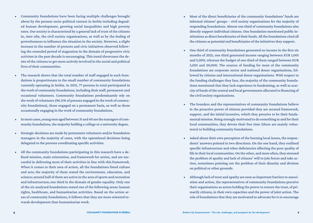- Community foundations have been facing multiple challenges brought about by the present socio-political context in Serbia including degraded human development, growing social inequalities and high poverty rates. Our society is characterised by a general lack of trust of the citizens in, *inter alia*, the civil society organisations, as well as by the feeling of powerlessness to influence the situation in the society. However, a slight increase in the number of protests and civic initiatives observed following the extended period of stagnation in the domain of progressive civic activism in the past decade is encouraging. This trend showcases the desire of the citizens to get more actively involved in the social and political lives of their communities.
- The research shows that the total number of staff engaged in such foundations is proportionate to the small number of community foundations currently operating in Serbia. In 2021, 77 persons in total participated in the work of community foundations, including their staff, permanent and occasional volunteers. Community foundations predominantly rely on the work of volunteers (96.11% of persons engaged in the work of community foundations), those engaged on a permanent basis, as well as those occasionally engaging in the work of community foundations.
- In most cases, young men aged between 31 and 40 are the managers of community foundations, the majority holding a college or a university degree.
- Strategic decisions are made by permanent volunteers and/or foundation managers in the majority of cases, with the operational decisions being delegated to the persons coordinating specific activities.
- All the community foundations participating in this research have a defined mission, main orientation, and framework for action, and are successful in delivering most of their activities in line with this framework. When it comes to their area of action, all the foundations listed culture and arts; the majority of them stated the environment, education, and science; around half of them are active in the area of sports and recreation and infrastructure; one third in the domain of gender equality. Only one of the six analysed foundations stated one of the following areas: human rights, healthcare, and humanitarian activities. Based on the action areas of community foundations, it follows that they are more oriented towards development than humanitarian work.
- Most of the direct beneficiaries of the community foundations' funds are informal citizens' groups – civil society organizations for the majority of responding foundations. Almost one third of community foundations also directly support individual citizens. One foundation mentioned public institutions as direct beneficiaries of their funds. All the foundations cited all the citizens as potential end beneficiaries of the initiatives they support.
- One third of community foundations generated no income in the first six months of 2021, one third generated income ranging between EUR 1,001 and 5,000, whereas the budget of one third of them ranged between EUR 5,001 and 20,000. The sources of funding for most of the community foundations are corporate sector and national donor organisations, followed by citizens and international donor organisations. With respect to the funding challenges they face, the majority of the community foundations mentioned that they lack experience in fundraising, as well as scarcity of funds of the central and local governments allocated to financing of the civil society organizations.
- The founders and the representatives of community foundations believe in the proactive power of citizens provided they are secured framework, support, and the initial incentive, which they perceive to be their fundamental mission. Being strongly motivated to do something in and for their local communities, they devote their free time (these are mainly volunteers) to building community foundations.
- Asked about their own perception of the burning local issues, the respondents' answers pointed in two directions. On the one hand, they outlined specific infrastructure and other deficiencies affecting the poor quality of life in their local communities. On the other, and more often, they stressed the problem of apathy and lack of citizens' will to join forces and take action, sometimes pointing out the problem of their disunity and division on political or other grounds.
- Although lack of trust and apathy are seen as important barriers to association and action, the representatives of community foundations perceive their organisations as actors holding the power to restore the trust, of primarily citizens, in their own capacities and the power of joint action. The role of foundations that they are motivated to advocate for is to encourage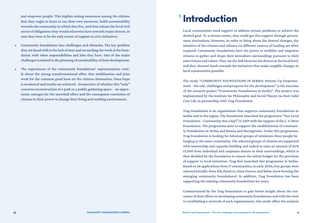<span id="page-6-0"></span>and empower people. This implies raising awareness among the citizens that they ought to learn to use their own resources, build accountability towards the community in which they live, and thus release the local civil sector of obligations they would otherwise have towards major donors, in case they were to be the only source of support to civic initiatives.

- Community foundations face challenges and obstacles. The key problem they are faced with is the lack of time and reconciling the work at the foundation with other responsibilities and jobs they have. One of the major challenges is related to the planning of sustainability of their development.
- The experiences of the community foundations' representatives testify about the strong transformational effect that mobilisation and joint work for the common good have on the citizens themselves. Once hope is awakened and results are achieved - irrespective of whether this "only" concerns reconstruction of a park or a public gathering space - an opportunity emerges for the snowball effect and the consequent conviction of citizens in their power to change their living and working environment.

# **Introduction 1**

Local communities need support to address certain problems or achieve the desired goal. To a certain extent, they could get this support through government institutions. However, in order to bring about the desired changes, the initiative of the citizens and reliance on different sources of funding are often required. Community foundations have the power to mobilise and empower citizens to gather and shape their immediate surroundings pursuant to their joint visions and values. They are the link between the donors at the local level, and they channel funds towards the initiatives that make tangible changes in local communities possible.

The study "COMMUNITY FOUNDATIONS IN SERBIA: Bottom-Up Empowerment - the role, challenges and prospects for the development" is the outcome of the research project "Community Foundations in Serbia". The project was implemented by the Institute for Philosophy and Social Theory via their Solid Care Lab, in partnership with Trag Foundation.

Trag Foundation is an organisation that supports community foundations in Serbia and in the region. The foundation launched the programme "Our Local Foundation – Community Has a Say!" in 2019 with the support of the C. S. Mott Foundation. The programme aims to support the establishment of community foundations in Serbia and Bosnia and Herzegovina. Under this programme, Trag Foundation is looking for informal groups of minimum three people belonging to the same community. The selected groups of citizens are supported with mentorship and capacity building and tasked to raise an amount of EUR 15,000 from individual and corporate donors in their surroundings, which is then doubled by the foundation to ensure the initial budget for the provision of support to local initiatives. Trag first launched this programme in Serbia. Based on 28 applications from 17 communities, in early 2020, four groups were selected initially: from Niš, Pančevo, Stara Pazova, and Šabac (now forming the emerging community foundations). In addition, Trag Foundation has been supporting the existing community foundations for years.

Commissioned by the Trag Foundation to gain better insight about the outcomes of their efforts in developing community foundations and with the view to establishing a network of such organisations, this study offers the analysis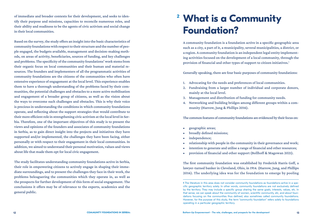<span id="page-7-0"></span>of immediate and broader contexts for their development, and seeks to identify their purpose and missions, capacities to reconcile numerous roles, and their ability and readiness to be the agents of civic activism and social change in their local communities.

Based on the survey, the study offers an insight into the basic characteristics of community foundations with respect to their structure and the number of people engaged, the budgets available, management and decision-making methods, on areas of activity, beneficiaries, sources of funding, and key challenges and problems. The specificity of the community foundations' work stems from their organic focus on local communities and their human and material resources. The founders and implementers of all the programmatic activities of community foundations are the citizens of the communities who often have extensive experience of engagement at the local level. This experience enables them to have a thorough understanding of the problems faced by their communities, the potential challenges and obstacles to a more active mobilisation and engagement of a broader group of citizens, as well as the vision about the ways to overcome such challenges and obstacles. This is why their voice is precious in understanding the conditions in which community foundations operate, and reflecting about the support strategies that would contribute to their more efficient role in strengthening civic activism at the local level in Serbia. Therefore, one of the important objectives of this study is to present the views and opinions of the founders and associates of community foundations in Serbia, as to gain direct insight into the projects and initiatives they have supported and/or implemented, the challenges they have been facing, either personally or with respect to their engagement in their local communities. In addition, we aimed to understand their personal motivation, values and views about life that made them opt for local civic engagement.

The study facilitates understanding community foundations active in Serbia, their role in empowering citizens to actively engage in shaping their immediate surroundings, and to present the challenges they face in their work, the problems beleaguering the communities which they operate in, as well as the prospects for further development of this form of social engagement. The conclusions it offers may be of relevance to the experts, academics and the general public.

# **What is a Community 2Foundation?**

A community foundation is a foundation active in a specific geographic area such as a city, a part of it, a municipality, several municipalities, a district, or a region. A community foundation is an independent legal entity implementing activities focused on the development of a local community, through the provision of financial and other types of support to citizen initiatives.<sup>1</sup>

Generally speaking, there are four basic purposes of community foundations:

- 1. Advocating for the needs and preferences of local communities.
- 2. Fundraising from a larger number of individual and corporate donors, mainly at the local level.
- 3. Management and distribution of funding for community needs.
- 4. Networking and building bridges among different groups within a community (Harrow, Jung & Phillips 2016).

The common features of community foundations are evidenced by their focus on:

- geographic areas;
- broadly defined missions;
- independence;
- relationship with people in the community in their governance and work;
- intention to generate and utilise a range of financial and other resources;
- provision of financial and other support (Bollhoff & Magowan 2021).

The first community foundation was established by Frederick Harris Goff, a lawyer-turned banker in Cleveland, Ohio, in 1914. (Harrow, Jung, and Phillips 2016). The underlying idea was for the foundation to emerge by pooling

**<sup>1</sup>** The literature in this area does not consider community foundations as foundations active in a specific geographic territory solely. In other words, community foundations are not exclusively defined by the territory. They may include a specific group sharing the same goals, interests, values, etc. In that sense, we can speak about the community of women, scientific community, etc, and about foundations focusing on the communities thus defined, also sometimes called community foundations. However, for the purpose of this study, the term "community foundation" refers solely to foundations operating in a particular geographic territory.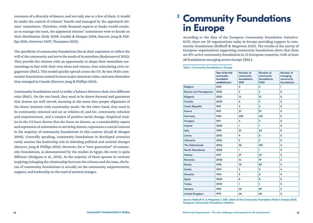<span id="page-8-0"></span>resources of a diversity of donors, and not only one or a few of them. It would be under the control of citizens' boards and managed by the appointed citizens' committees. Therefore, while financial experts at banks would continue to manage the trust, the appointed citizens' committees were to decide on their distribution (Daly 2008, Graddy & Morgan 2006, Harrow, Jung & Phillips 2016, Ostrower 2007, Thompson 2012).

The specificity of community foundations lies in their aspiration to reflect the will of the community and serve the needs of its members (Radovanović 2021). They provide the citizens with an opportunity to shape their immediate surroundings in line with their own ideas and visions, thus stimulating civic engagement (ibid.). This model quickly spread across the US. By late 1920s community foundations existed in most major American cities, and soon thereafter they emerged in Canada (Harrow, Jung & Phillips 2016).

Community foundations need to strike a balance between their own different roles (ibid.). On the one hand, they need to be donor-focused and guarantee that donors are well served, ensuring at the same time proper alignment of the donor interests with community needs. On the other hand, they need to be community-oriented and act as vehicles of, and for, community cohesion and empowerment, and a catalyst of positive social change. Empirical studies in the US have shown that the focus on donors, as a sustainability aspect and expression of orientation to servicing donors, represents a central concern in the majority of community foundations in this country (Gradi & Morgan 2006). Generally speaking, community foundations in developed countries rarely assume the leadership role in initiating political and societal changes (Harrow, Jung & Phillips 2016). However, for a "new generation" of community foundations, as demonstrated by the studies in Egypt, the story is quite different (Hodgson et al., 2012). As the majority of them operate in contexts implying reshaping the relationship between the citizens and the state, the focus of community foundations is actually on the community empowerment, support, and leadership on the road of societal changes.

## **Community Foundations 3in Europe**

According to the data of the European Community Foundation Initiative-ECFI, there are 30 organisations today in Europe providing support to community foundations (Bollhoff & Magowan 2021). The results of the survey of European organisations supporting community foundations show that there are 875 active community foundations in 23 European countries, with at least 28 foundations emerging across Europe (ibid.).

#### Table 1. Community foundations in Europe

|                               | Year of the first<br>community<br>foundation<br>establishment | Number of<br>community<br>foundations<br>2018 | Number of<br>community<br>foundations<br>2020 | Number of<br>emerging<br>community<br>foundations |
|-------------------------------|---------------------------------------------------------------|-----------------------------------------------|-----------------------------------------------|---------------------------------------------------|
| <b>Belgium</b>                | 2001                                                          | 3                                             | $\overline{\mathbf{4}}$                       | T                                                 |
| <b>Bosnia and Herzegovina</b> | 2003                                                          | $\overline{2}$                                | $\overline{2}$                                | $\mathbf 0$                                       |
| <b>Bulgaria</b>               | 2002                                                          | 13                                            | 13                                            | $\mathbf 0$                                       |
| Croatia                       | 2000                                                          | 6                                             | 5                                             | $\mathbf{o}$                                      |
| <b>Czech Republic</b>         | 1997                                                          | 4                                             | 5                                             | $\mathbf{o}$                                      |
| <b>France</b>                 | 1997                                                          | 57                                            | 57                                            | $\mathbf 0$                                       |
| <b>Germany</b>                | 1996                                                          | 408                                           | 410                                           | $\mathbf 0$                                       |
| <b>Hungary</b>                | 2011                                                          | $\overline{\mathbf{4}}$                       | $\overline{2}$                                | $\mathbf 0$                                       |
| <b>Ireland</b>                | 2000                                                          | T                                             | T                                             | $\mathbf{o}$                                      |
| <b>Italy</b>                  | 1999                                                          | 37                                            | 44                                            | 8                                                 |
| Latvia                        | 2003                                                          | 9                                             | 8                                             | 0                                                 |
| Lithuania                     | 2002                                                          | $\overline{2}$                                | $\overline{2}$                                | $\mathbf{o}$                                      |
| <b>The Netherlands</b>        | 2004                                                          | 35                                            | 105                                           | $\overline{\mathbf{A}}$                           |
| <b>North Macedonia</b>        | 2008                                                          | Ī.                                            | T                                             | O                                                 |
| Poland                        | 1997                                                          | 27                                            | 22                                            | $\mathbf 0$                                       |
| <b>Romania</b>                | 2008                                                          | 16                                            | 19                                            | 3                                                 |
| <b>Russia</b>                 | 1998                                                          | 70                                            | 80                                            | 5                                                 |
| <b>Serbia</b>                 | 2013                                                          | 3                                             | 3                                             | $\overline{\mathbf{A}}$                           |
| <b>Slovakia</b>               | 1994                                                          | 8                                             | 8                                             | $\mathbf 0$                                       |
| Spain                         | 2000                                                          | 8                                             | 8                                             | $\mathbf{o}$                                      |
| <b>Turkey</b>                 | 2003                                                          | ī                                             | $\mathbf{I}$                                  | $\mathbf{o}$                                      |
| <b>Ukraine</b>                | 1995                                                          | 33                                            | 29                                            | 3                                                 |
| <b>United Kingdom</b>         | 1975                                                          | 46                                            | 46                                            | $\mathbf 0$                                       |

*Source*: Böllhoff A. & Magowan J. 2021. *State of the Community Foundation Field in Europe 2020*, European Community Foundation Initiative.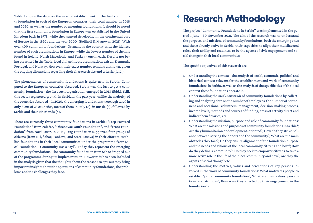<span id="page-9-0"></span>Table 1 shows the data on the year of establishment of the first community foundation in each of the European countries, their total number in 2018 and 2020, as well as the number of emerging foundations. It should be noted that the first community foundation in Europe was established in the United Kingdom back in 1975, while they started developing in the continental part of Europe in the 1920s and the year 2000 (Bollhoff & Magowan 2021). With over 400 community foundations, Germany is the country with the highest number of such organisations in Europe, while the lowest number of them is found in Ireland, North Macedonia, and Turkey - one in each. Despite not being presented in the Table, local philanthropic organisations exist in Denmark, Portugal, and Norway. However, their exact number remains unknown, given the ongoing discussions regarding their characteristics and criteria (ibid.).

The phenomenon of community foundations is quite new in Serbia. Compared to the European countries observed, Serbia was the last to get a community foundation - the first such organisation emerged in 2013 (ibid.). Still, this sector registered growth in Serbia in the past year, unlike the majority of the countries observed - in 2020, the emerging foundations were registered in only 8 out of 23 countries, most of them in Italy (8), in Russia (5), followed by Serbia and the Netherlands (4).

There are currently three community foundations in Serbia: "Step Forward Foundation" from Zaječar, "Obrenovac Youth Foundation", and "Front Foundation" from Novi Pazar. In 2020, Trag Foundation supported four groups of citizens (from Niš, Šabac, Pančevo, and Stara Pazova) in their effort to establish foundations in their local communities under the programme "Our Local Foundation – Community Has a Say!". Today they represent the emerging community foundations. The community foundation from Šabac dropped out of the programme during its implementation. However, it has been included in the analysis given that the thoughts about the reasons to opt-out may bring important insights about the operations of community foundations, the problems and the challenges they face.

## **Research Methodology 4**

The project "Community Foundations in Serbia'' was implemented in the period 1 June - 30 November 2021. The aim of the research was to understand the purposes and missions of community foundations, both the emerging ones and those already active in Serbia, their capacities to align their multifaceted roles, their ability and readiness to be the agents of civic engagement and social change in their local communities.

The specific objectives of this research are:

- 1. Understanding the context the analysis of social, economic, political and historical context relevant for the establishment and work of community foundations in Serbia, as well as the analysis of the specificities of the local context these foundations operate in.
- 2. Understanding the *modus operandi* of community foundations by collecting and analysing data on the number of employees, the number of permanent and occasional volunteers, management, decision-making process, income levels, methods and sources of funding, areas of activity direct and indirect beneficiaries, etc.
- 3. Understanding the mission, purpose and role of community foundations: What are the missions and purposes of community foundations in Serbia?; Are they humanitarian or development-oriented?; How do they strike balance between serving the donors and the community?; What are the main obstacles they face?; Do they ensure alignment of the foundation purpose and the needs and visions of the local community citizens and how?; How do they define a community?; Do they seek to empower citizens to take a more active role in the life of their local community and how?; Are they the agents of social change? etc.
- 4. Understanding the motives, values and perceptions of key persons involved in the work of community foundations: What motivates people to establish/join a community foundation?; What are their values, perceptions and attitudes?; How were they affected by their engagement in the foundation? etc.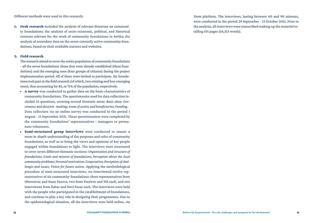<span id="page-10-0"></span>Different methods were used in this research:

1. Desk research included the analysis of relevant literature on community foundations; the analysis of socio-economic, political, and historical contexts relevant for the work of community foundations in Serbia; the analysis of secondary data on the seven currently active community foundations, based on their available statutes and websites.

#### 2. Field research

The research aimed to cover the entire population of community foundations - all the seven foundations: those that were already established (three foundations) and the emerging ones (four groups of citizens) during the project implementation period. All of them were invited to participate. Six foundations took part in the field research (of which, two existing and four emerging ones), thus accounting for 85, or 71% of the population, respectively.

- A survey was conducted to gather data on the basic characteristics of community foundations. The questionnaire used for data collection included 22 questions, covering several thematic areas: *Basic data; Governance and decision- making; Areas of action and beneficiaries; Funding.* Data collection *via* an online survey was conducted in the period 1 August - 15 September 2021. These questionnaires were completed by the community foundations' representatives - managers or permanent volunteers.
- Semi-structured group interviews were conducted to ensure a more in-depth understanding of the purposes and roles of community foundations, as well as to bring the views and opinions of key people engaged within foundations to light. The interviews were structured to cover seven different thematic sections: *Organisation and structure of foundations; Goals and mission of foundations; Perception about the local community problems; Personal motivation; Cooperation; Perception of challenges and issues; Vision for future action*. Applying the methodological procedure of semi-structured interviews, we interviewed twelve representatives of six community foundations: three representatives from Obrenovac and Stara Pazova, two from Pančevo and Niš each, and one interviewee from Šabac and Novi Pazar each. The interviews were held with the people who participated in the establishment of foundations, and continue to play a key role in designing their programmes. Due to the epidemiological situation, all the interviews were held online, *via*

*Zoom* platform. The interviews, lasting between 60 and 90 minutes, were conducted in the period 29 September - 13 October 2021. Prior to the analysis, all interviews were transcribed making up the material totalling 101 pages (56,513 words).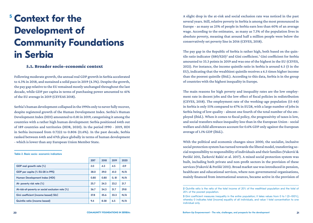# **Context for the 5 Development of Community Foundations in Serbia**

### 5.1. Broader socio-economic context

Following moderate growth, the annual real GDP growth in Serbia accelerated to 4.3% in 2018, and sustained a solid pace in 2019 (4.3%). Despite the growth, the pay gap relative to the EU remained mostly unchanged throughout the last decade, while GDP per capita in terms of purchasing power amounted to 41% of the EU average in 2019 (CEVEAS 2018).

Serbia's human development collapsed in the 1990s only to never fully recover, despite registered growth of the Human Development Index. Serbia's Human Development Index (HDI) amounted to 0.81 in 2019, categorising it among the countries with a rather high human development: Serbia positioned 64th out of 189 countries and territories (HDR, 2020). In the period 1990 - 2019, HDI in Serbia increased from 0.7222 to 0.806 (11.6%). In the past decade, Serbia ranked between 64th and 67th place globally in terms of human development - which is lower than any European Union Member State.

#### Table 2. Basic socio- economic indicators

|                                                 | 2017 | 2018 | 2019 | 2020   |
|-------------------------------------------------|------|------|------|--------|
| GDP real growth rate (%)                        | 2.0  | 4.3  | 4.5  | $-0.9$ |
| GDP per capita (% EU-28 in PPS)                 | 38.0 | 39.0 | 41.0 | N/A    |
| Human Development Index (HDI)                   | 0.80 | 0.80 | 0.81 | N/A    |
| At- poverty risk rate $(\%)$                    | 25.7 | 24.3 | 23.2 | 21.7   |
| At-risk-of-poverty or social exclusion rate (%) |      | 34.3 | 31.7 | 29.8   |
| Gini coefficient (income based) SILC            | 37.8 | 35.6 | 33.3 | N/A    |
| <b>Quintile ratio (income based)</b>            | 9.4  | 8.58 | 6.5  | N/A    |

A slight drop in the at-risk and social exclusion rate was noticed in the past several years. Still, relative poverty in Serbia is among the most pronounced in Europe - as many as 25% of people in Serbia earn less than 60% of an average wage. According to the estimates, as many as 7.3% of the population lives in absolute poverty, meaning that around half a million people were below the conservatively set poverty line in 2016 (CEVES, 2018).

The pay gap in the Republic of Serbia is rather high, both based on the quintile ratio indicator (S80/S20)<sup>2</sup> and Gini coefficient.<sup>3</sup> Gini coefficient for Serbia amounted to 33.3 points in 2019 and was one of the highest in the EU (CEVES, 2021). For instance, the income quintile ratio in Serbia is around 6.5 (5 in the EU), indicating that the wealthiest quintile receives a 6.5 times higher income than the poorest quintile (ibid.). According to this data, Serbia is in the group of countries with the highest inequality in Europe.

The main reasons for high poverty and inequality rates are the low employment rate in decent jobs and the low effect of fiscal policies in redistribution (CEVES, 2018). The employment rate of the working-age population (15-64) in Serbia is only 55% compared to 67% in EU28, with a large number of jobs in Serbia being of low quality - almost one fourth of the total number of the employed (ibid.). When it comes to fiscal policy, the progressivity of taxes is low, and social transfers reduce inequality less than in the European Union - social welfare and child allowances account for 0.6% GDP only against the European average of 1.1% GDP (ibid.).

With the political and economic changes since 2000, the socialist, inclusive social protection system has turned towards the liberal model, transferring social responsibility to responsibility of individuals and their families (Vuković & Perišić 2011, Žarković Rakić et al. 2017). A mixed social protection system was built, including both private and non-profit sectors in the provision of these services (Vuković & Perišić 2011). Broad market use was introduced in pension, healthcare and educational services, where non-governmental organisations, mainly financed from international sources, became active in the provision of

**<sup>2</sup>** Quintile ratio is the ratio of the total income of 20% of the wealthiest population and the total of 20% of the poorest population.

**<sup>3</sup>** Gini coefficient measures inequality in the entire population; it takes values from 0 to 1 (0–100%), whereby 0 indicates total (income) equality of all individuals, and value 1 total concentration to one individual only.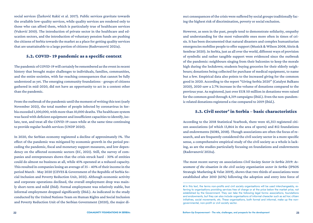social services (Žarković Rakić et al. 2017). Public services gravitate towards the available low-quality services, while quality services are rendered only to those who can afford them, which is particularly true of healthcare services (Vuković 2010). The introduction of private sector in the healthcare and education sectors, and the introduction of voluntary pension funds are pushing the citizens of Serbia towards the market as a place for getting quality services that are unattainable to a large portion of citizens (Radovanović 2021a).

### 5.2. COVID- 19 pandemic as a specific context

The pandemic of COVID-19 will certainly be remembered as the event in recent history that brought major challenges to individuals, families, communities, and the entire societies, with far-reaching consequences that cannot be fully understood as yet. The emerging community foundations - groups of citizens gathered in mid-2020, did not have an opportunity to act in a context other than the pandemic.

From the outbreak of the pandemic until the moment of writing this text (early November 2021), the total number of people infected by coronavirus in Serbia exceeded 1,100,000, with more than 10,000 deaths. The healthcare system was faced with deficient equipment and insufficient capacities to identify, isolate, test, and treat all the COVID-19 cases while at the same time continuing to provide regular health services (UNDP 2020).

In 2020, the Serbian economy registered a decline of approximately 1%. The effect of the pandemic was mitigated by economic growth in the period preceding the pandemic, fiscal and monetary support measures, and low dependency on the affected economic sectors (EC, 2021). Still, the survey of companies and entrepreneurs shows that the crisis struck hard - 30% of entities could do almost no business at all, while 45% operated at a reduced capacity. This resulted in companies losing an average of 35 – 40% of their income in the period March - May 2020 (CEVES & Government of the Republic of Serbia Social Inclusion and Poverty Reduction Unit, 2021). Although economic activity and corporate operations declined, the overall employment drop was mainly short-term and mild (ibid). Formal employment was relatively stable, but informal employment dropped significantly (ibid.). As indicated in the study conducted by the United Nations Team on Human Rights and Social Inclusion and Poverty Reduction Unit of the Serbian Government (2020), the major direct consequences of the crisis were suffered by social groups traditionally facing the highest risk of discrimination, poverty or social exclusion.

However, as seen in the past, people tend to demonstrate solidarity, empathy and understanding for the most vulnerable ones more often in times of crisis. It has been documented that natural disasters and complex humanitarian emergencies mobilise people to offer support (Musick & Wilson 2008, Sitrin & Sembrar 2020). In Serbia, just as all over the world, different ways of provision of symbolic and rather tangible support were evidenced since the outbreak of the pandemic: neighbours singing from their balconies to keep the morale high during the lockdown; students buying groceries for their elderly neighbours; donations being collected for purchase of medical equipment, to name but a few. Empirical data also points to the increased giving for the common good in 2020. According to the report "Giving Serbia 2020" (Catalyst Balkans 2020), 2020 saw a 2.7% increase in the volume of donations compared to the previous year. As registered, just over EUR 50 million in donations were raised for the common good through 4,319 campaigns (ibid.). Even the non-pandemic related donations registered a rise compared to 2019 (ibid.).

### $5.3.$  Civil sector<sup>4</sup> in Serbia – basic characteristics

According to the 2018 Statistical Yearbook, there were 45,353 registered citizen associations (of which 13,864 in the area of sports) and 812 foundations and endowments (SORS, 2018). Though associations are often the focus of research, and are frequently considered the civil society sector in a more specific sense, a comprehensive empirical study of the civil society as a whole is lacking, as are the studies particularly focusing on foundations and endowments (Radovanović 2021a).

The most recent survey on associations *Civil Society Sector in Serbia 2019: Assessment of the situation in the civil society organisation sector in Serbia* (IPSOS Strategic Marketing & Velat 2019), shows that two thirds of associations were established after 2010 (65%) following the adoption and entry into force of

**<sup>4</sup>** In this text, the terms non-profits and civil society organisations will be used interchangeably, referring to organisations providing services free of charge or at the price below the market price, not established by the Government. They can take the following legal forms: associations, foundations and endowments, but they can also include organisations of informal character such as ad hoc citizen initiatives, social movements, etc. These organisations, both formal and informal, make up the nongovernmental, non-profit or civil society sector.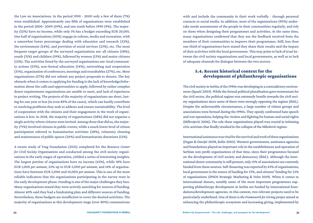the Law on Associations. In the period 1990 - 2000 only a few of them (7%) were established. Approximately one fifth of organisations were established in the period 2000- 2009 (19%), and one tenth before 1990 (9%). The majority (52%) have no income, while only 1% has a budget exceeding EUR 20,001. One half of organisations (50%) engage in culture, media and recreation, with a somewhat lower percentage dealing with education and research (32%), the environment (24%), and provision of social services (23%), etc. The most frequent target groups of the surveyed organisations are: all citizens (58%), youth (31%) and children (19%), followed by women (13%) and senior citizens (12%). The activities listed by the surveyed organisations are: local community actions (55%), non-formal education (34%), networking and cooperation (31%), organisation of conferences, meetings and roundtables (27%), etc. Most organisations (57%) did not submit any project proposals to donors. The key obstacle when it comes to applying for funding is the lack of knowledge/information about the calls and opportunities to apply, followed by rather complex donor requirements organisations are unable to meet, and lack of experience in project writing. The projects of the majority of organisations are short, lasting for one year or less (in even 89% of the cases), which can hardly contribute to resolving problems they seek to address and ensure sustainability. The level of cooperation with the citizens and their engagement in the work of organisations is low. In 2018, the majority of organisations (58%) did not organise a single activity where citizens were invited. Among those that did so, the majority (71%) involved citizens in public events, while a much lower level of citizen participation referred to humanitarian activities (28%), voluntary cleaning and maintenance of public spaces (20%) and humanitarian donations (12%).

A recent study of Trag Foundation (2021) completed for the *Resource Center for Civil Society Organisations* and conducted among the civil society organisations in the early stages of operation, yielded a series of interesting insights. The largest portion of organisations have no income (43%), while 18% have EUR 1,000 *per annum*, 22% up to EUR 5,000 *per annum*, and 16% of organisations have between EUR 5,000 and 10,000 *per annum*. This is one of the most reliable indicators that the organisations participating in the survey were in the early development phase. Funding is one of the major challenges they face. Many organisations stated they were actively searching for sources of funding. Almost 40% said they had a fundraising plan and different sources of funding. Nevertheless, these budgets are insufficient to cover the desired activities. The majority of organisations at this development stage (over 80%) communicate with and include the community in their work verbally - through personal contacts or social media. In addition, most of the organisations (90%) undertake needs assessments of the people in their communities regularly, and rely on them when designing their programmes and activities. At the same time, many organisations confirmed that they use the feedback received from the members of their communities to improve their programmes. Still, less than one third of organisations have stated they share their results and the impact of their activities with the local government. This may point to lack of trust between the civil society organisations and local governments, as well as to lack of adequate channels for dialogue between the two sectors.

## 5.4. Recent historical context for the development of philanthropic organisations

The civil society in Serbia of the 1990s was developing in a contradictory environment (Spasić 2003). While the formal political pluralisation gave momentum for the civil sector, the political regime was extremely hostile towards the civil society organisations since some of them were strongly opposing the regime (ibid.). Despite the unfavourable circumstances, a large number of citizen groups and associations were formed during the 1990s. They openly confronted hate speech and war operations, helping the victims and fighting for human and social rights (Milivojević 2006). The role these organisations played was crucial in initiating civic activism that finally resulted in the collapse of the Milošević regime.

International assistance was vital for the survival and work of these organisations (Fagan & Ostojić 2008, Kolin 2005). Western governments, assistance agencies and foundations played an important role in the establishment and operation of Serbian non-profit organisations of that time, since their programmes focused on the development of civil society and democracy (ibid.). Although the international donor community is still present, only 15% of associations are currently funded from these sources. Self-financing was reported by 63% of organisations; local government is the source of funding for 33%, and citizens' funding for 23% of organisations (IPSOS Strategic Marketing & Velat 2019). When it comes to international donors, notably some of the most important programmes supporting philanthropy development in Serbia are funded by international foundations/development agencies. In this context, two relevant projects need to be particularly underlined. One of them is *the Framework for Giving project* aimed at enhancing the philanthropic ecosystem and increasing giving, implemented by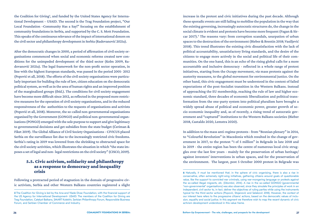the Coalition for Giving<sup>5</sup>, and funded by the United States Agency for International Development – USAID. The second is the Trag Foundation project, "Our Local Foundation –Community Has a Say!" focusing on the establishment of community foundations in Serbia, and supported by the C. S. Mott Foundation. This speaks of the continuous relevance of the impact of international donors on the civil sector and philanthropy development in Serbia (Radovanović 2021a).

After the democratic changes in 2000, a period of affirmation of civil society organisations commenced when social and economic reforms created new conditions for the unimpeded development of the third sector (Kolm 2009, Radovanović 2021a). The legal framework for the non-profit sector operation, in line with the highest European standards, was passed In the period 2001- 2012 (Popović et all, 2018). The efforts of the civil society organisations were particularly important for building the rule of law, citizen education on the democratic political system, as well as in the area of human rights and an improved position of the marginalized groups (ibid.). The conditions for civil society engagement have become more difficult since 2012, as reflected in the proposed more restrictive measures for the operation of civil society organisations, and in the reduced responsiveness of the authorities to the requests of organisations and activists (Popović et all, 2018). Moreover, the so-called non-governmental organisations organised by the Government (GONGO) and political non-governmental organisations (PONGO) emerged with the sole purpose to support and give legitimacy to governmental decisions and get subsidies from the state budget (Ćeriman & Fiket 2019). The Global Alliance of Civil Society Organisations - CIVICUS placed Serbia on the surveillance list due to the increasingly restricted civic freedoms. Serbia's rating in 2019 was lowered from the shrinking to obstructed space for the civil society activities, which illustrates the situation in which "the state imposes a set of legal and non- legal restrictions on the civil society" (CISCO, 2019).

## 5.5. Civic activism, solidarity and philanthropy as a response to democracy and inequality crisis

Following a protracted period of stagnation in the domain of progressive civic activism, Serbia and other Western Balkans countries registered a slight increase in the protest and civic initiatives during the past decade. Although these sporadic events are still failing to mobilise the population in the way that the existing governing, increasingly autocratic structures do, the change in the social climate is evident and protests have become more frequent (Fagan & Sircar 2017).<sup>6</sup> The reasons vary: from corruption scandals, usurpation of urban spaces to the destruction of the environment (Bieber & Brentin 2018; Vasiljević 2018). This trend illustrates the existing civic dissatisfaction with the lack of political accountability, unsatisfactory living standards, and the desire of the citizens to engage more actively in the social and political life of their communities. On the one hand, this is an echo of the rising global calls for a more accountable and inclusive democracy - reflected in a whole range of protest initiatives, starting from the *Occupy* movement, *via* mass protests against the austerity measures, to the global movement for environmental justice. On the other hand, this civic engagement must be understood in the context of failed expectations of the post-Socialist transition in the Western Balkans. Instead of approaching the EU membership, reaching the rule of law and higher economic standard, three decades of economic liberalization and political transformation from the one-party system into political pluralism have brought a widely spread abuse of political and economic power, greater growth of socio-economic inequality and, as of recently, a rising trend of autocratic government and "captured" institutions to the Western Balkans societies (Bieber 2018, Castaldo 2020, Lemstra 2020).

In addition to the mass anti-regime protests - from "Bosnian plenary" in 2014, to "Colourful Revolution" in Macedonia which resulted in the change of government in 2017, to the protest "1 of 5 million" in Belgrade in late 2018 and in 2019 - the entire region has been the centre of numerous local civic struggles over the last few years - mainly for the preservation of urban heritage/ against investors' interventions in urban spaces, and for the preservation of the environment. The largest, post 5 October 2000 protest in Belgrade was

**<sup>5</sup>** The Coalition for Giving is led by the Ana and Vlade Divac Foundation, with the financial support of the US Agency for International Development- USAID. The members of the Coalition for Giving are Trag Foundation, Catalyst Balkans, SMART Kolektiv, Serbian Philanthropy Forum, Responsible Business Forum, and Serbian Chamber of Commerce and Industry.

**<sup>6</sup>** Naturally, it must be mentioned that, in the sphere of civic organising, there is also a rise in conservative, often extremely right-wing initiatives, gathering citizens around goals of questionable value, like the support to convicted war criminals, using war-mongering language or protests against the so-called illegal migrants, etc. (Džombić, 2014). A rise in the so-called GONGO (governmental "non-governmental" organisations) was also observed, since they simulate the principles of work in an independent, civil sector to, in fact, deliver the objectives of ruling parties while using the instruments typical for the third sector actions (Popović, Stojanović and Selaković 2018). However, the context of our interest here refers to the progressive citizens' actions, based on the democratic values of inclusion, equality and social justice. In this segment we therefore wish to map the recent dynamic of civic activism development understood in this value frame.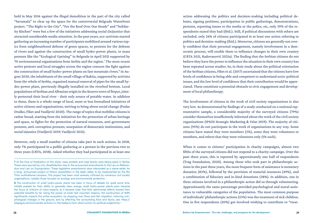held in May 2016 against the illegal demolition in the part of the city called "Savamala" to clear up the space for the controversial Belgrade Waterfront project. "The Right to the City", "For the Roof Over Our Heads" and "Solidarity Kitchen" were but a few of the initiatives addressing social (in)justice that attracted considerable media attention. In the past years, eco-activism started gathering an increasing number of participants mobilised around various topics from neighbourhood defense of green spaces, to protests for the defense of rivers and against the construction of small hydro-power plants, to mass protests like the "Ecological Uprising" in Belgrade in April 2021 supported by 70 environmental organisations from Serbia and the region. $7$  The most recent active protests and local struggles across the region concern the fight against the construction of small hydro-power plants on fast mountain rivers.<sup>8</sup> In August 2020, the inhabitants of the small village of Rakita, supported by activists from the whole of Serbia, organised manual removal of pipes for the small hydro-power plant, previously illegally installed on the riverbed bottom. Local populations of Serbian and Albanian origin in the Kosovo town of Štrpce, jointly protected their local river - their only source of potable water. In addition to these, there is a whole range of local, more or less formalised initiatives of active citizens and organisations, striving to bring about social change (Pudar Draško, Fiket and Vasiljević 2020). The range of topics that mobilise citizens is rather broad, starting from the initiatives for the protection of urban heritage and space, to fights for the protection of natural resources, anti-government protests, anti-corruption protests, usurpation of democratic institutions, and social injustice (Vasiljević 2019; Vasiljević 2021).

However, only a small number of citizens take part in such actions. In 2018, only 7% participated in a public gathering or a protest in the previous two to three years (CRTA, 2018). Asked whether they had participated in at least one action addressing the politics and decision-making including political debates, signing petitions, participation in public gatherings, demonstrations, protests, reporting issues to the media or the police, etc, only 39% of the respondents stated they had (ibid.). Still, if political discussions with others are excluded, only 26% of citizens participated in at least one action referring to politics and decision-making (ibid.). Moreover, citizens are generally not overly confident that their personal engagement, namely involvement in a democratic process, will enable them to influence changes in their own country (CRTA 2021, Radovanović 2021a). The finding that the Serbian citizens do not believe they have the power to influence the situation in their own country has been repeated across studies. So, in their study about the political orientation of the Serbian citizens, Fiket et al. (2017) ascertained that the citizens have low levels of confidence in being able and competent to understand socio-political issues, and the low level of confidence that their contribution would be appreciated. These constitute a potential obstacle to civic engagement and development of local philanthropy.

The involvement of citizens in the work of civil society organisations is also very low. As demonstrated by findings of a study conducted on a national representative sample, a considerable majority of the surveyed citizens (79%) consider themselves insufficiently informed about the work of the civil society organisations (IPSOS Strategic Marketing & Velat 2019). The majority of citizens (95%) do not participate in the work of organisations in any way. Some citizens have stated they were members (3%), some they were volunteers or members, and others that they were volunteers only (1% each).

When it comes to citizens' participation in charity campaigns, almost two fifths of the surveyed citizens did not respond to a charity campaign. Over the past three years, this is reported by approximately one half of respondents (Trag Foundation, 2020). Among those who took part in philanthropic actions in the past three years, the most frequent form of assistance is monetary donation (83%), followed by the provision of material resources (49%), and a combination of fiduciary and in-kind donations (38%). In addition, one in three citizens involved in a philanthropic action did so through volunteering. Approximately the same percentage provided psychological and moral assistance to vulnerable categories of the population. The most common purpose of individuals' philanthropic actions (53%) was the treatment of sick children. One in five respondents (20%) got involved wishing to contribute to "treat-

**<sup>7</sup>** At the time of finalization of this study, mass protests and road blocks were taking place in Serbia. These were spurred by civic dissatisfaction due to the announced amendments to the Law on Referendum and Law on Expropriation. These legislative amendments were interpreted as a scene-setter for a long- announced project of lithium exploitation in the Jadar valley, to be implemented by the Rio Tinto multinational company. This project has been most severely criticized by numerous civil society organisations, notably those focused on ecology and environmental protection.

**<sup>8</sup>** The construction of small hydro-power plants has been in focus of debate for quite some time. Initially praised for their ability to generate clean energy, small hydro-power plants soon became the focus of criticism of many experts, as it became clear that their detrimental effects exceed their potential benefits by far. Using the power of small, fast mountain streams, the construction of SHPs significantly impacts the entire ecosystem, by stopping river flows and fish migration, inducing morphological changes in the ground, and by affecting the surrounding flora and fauna, see: https:// biepag.eu/environmental-activism-in-the-balkans-from-direct-action-to-political-subjectivity/.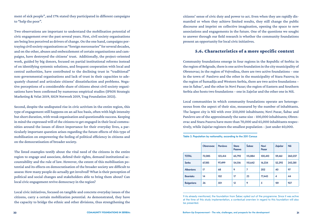ment of sick people", and 17% stated they participated in different campaigns to "help the poor".

Two observations are important to understand the mobilisation potential of civic engagement over the past several years. First, civil society organisations are being less perceived as drivers of change. On the one hand, campaigns portraying civil society organisations as "foreign mercenaries" for several decades, and on the other, abuses and embezzlement of certain organisations and campaigns, have destroyed the citizens' trust. Additionally, the project-oriented work, guided by big donors, focused on partial institutional reforms instead of on identifying systemic solutions, and frequent cooperation with local and central authorities, have contributed to the declining trust in "traditional" non-governmental organisations and lack of trust in their capacities to adequately channel and articulate citizens' dissatisfaction and problems. Negative perceptions of a considerable share of citizens about civil society organisations have been confirmed by numerous empirical studies (IPSOS Strategic Marketing & Velat 2019, SIGN Network 2019, Trag Foundation 2021).

Second, despite the undisputed rise in civic activism in the entire region, this type of engagement still happens on an ad hoc basis, often with high intensity but short duration, with weak organisation and questionable success. Keeping in mind the expressed will of the citizens to get engaged in their local communities around the issues of direct importance for their everyday lives, a particularly important question arises regarding the future effects of this type of mobilisation on empowering the feeling of political efficiency in citizens and on the democratisation of broader society.

The listed examples testify about the vital need of the citizens in the entire region to engage and associate, defend their rights, demand institutional accountability and the rule of law. However, the extent of this mobilisation potential and its effects on democratisation of the broader society are difficult to assess: How many people do actually get involved? What is their perception of political and social changes and stakeholders able to bring them about? Can local civic engagement revive democracy in the region?

Local civic initiatives, focused on tangible and concrete everyday issues of the citizens, carry a certain mobilization potential. As demonstrated, they have the capacity to bridge the ethnic and other divisions, thus strengthening the

citizens' sense of civic duty and power to act. Even when they are rapidly dismantled or when they achieve limited results, they still change the public discourse and imprint on collective imagination, opening the space to new associations and engagements in the future. One of the questions we sought to answer through our field research is whether the community foundations present an opportunity for local civic initiatives.

### 5.6. Characteristics of a more specific context

Community foundations emerge in four regions in the Republic of Serbia: in the region of Belgrade, there is one active foundation in the city municipality of Obrenovac; in the region of Vojvodina, there are two active foundations – one in the town of Pančevo and the other in the municipality of Stara Pazova; in the region of Šumadija and Western Serbia, there are two active foundations – one in Šabac<sup>9</sup> , and the other in Novi Pazar; the region of Eastern and Southern Serbia also hosts two foundations – one in Zaječar and the other one in Niš.

Local communities in which community foundations operate are heterogeneous from the aspect of their size, measured by the number of inhabitants. The largest city is Niš with over 250,000 inhabitants; Novi Pazar, Šabac and Pančevo are of the approximately the same size - 100,000 inhabitants; Obrenovac and Stara Pazova have more than 70,000 and 65,000 inhabitants respectively, while Zaječar registers the smallest population – just under 60,000.

| Table 3. Population by nationality, according to the 2011 Census |  |  |  |
|------------------------------------------------------------------|--|--|--|
|------------------------------------------------------------------|--|--|--|

|                   | <b>Obrenovac</b> | Pančevo | <b>Stara</b><br>Pazova | Šabac   | <b>Novi</b><br>Pazar | Zaječar                 | <b>Niš</b> |
|-------------------|------------------|---------|------------------------|---------|----------------------|-------------------------|------------|
| <b>TOTAL</b>      | 72,085           | 123,414 | 65,792                 | 115,884 | 100,410              | 59,461                  | 260,237    |
| <b>Serbs</b>      | 67,185           | 97,499  | 54,516                 | 110,642 | 16,234               | 52,292                  | 243,381    |
| <b>Albanians</b>  | 17               | 68      | 9                      | 7       | 202                  | 40                      | 97         |
| <b>Bosniaks</b>   | 14               | 102     | 17                     | 23      | 77,443               | $\overline{\mathbf{4}}$ | 44         |
| <b>Bulgarians</b> | 26               | 501     | 12                     | 9       | 5                    | 181                     | 927        |

9 As already mentioned, the foundation from Šabac opted out of the programme. Since it was active at the time of this study implementation, a contextual overview in regard to this foundation will also be presented.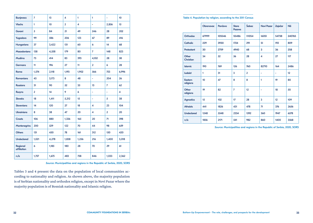| <b>Bunjevacs</b>               | $\overline{7}$ | 13    | 4              | 1     | 1              | ٠              | 10 <sup>10</sup> |
|--------------------------------|----------------|-------|----------------|-------|----------------|----------------|------------------|
| <b>Vlachs</b>                  | 1              | 10    | $\overline{2}$ | 4     | ÷,             | 2,856          | 15               |
| Gorani                         | 5              | 84    | 21             | 49    | 246            | 28             | 202              |
| <b>Yugoslavs</b>               | 99             | 586   | 206            | 123   | 67             | 89             | 416              |
| <b>Hungarians</b>              | 37             | 3,422 | 131            | 60    | 6              | 14             | 68               |
| <b>Macedonians</b>             | 138            | 4,558 | 179            | 80    | $\overline{7}$ | 148            | 823              |
| <b>Muslims</b>                 | 73             | 414   | 83             | 393   | 4,102          | 28             | 58               |
| <b>Germans</b>                 | 11             | 196   | 27             | 11    | $\overline{2}$ | 6              | 28               |
| Roma                           | 1,574          | 2,118 | 1,193          | 1,902 | 566            | 753            | 6,996            |
| <b>Romanians</b>               | 43             | 3,173 | 8              | 48    | ٠              | 204            | 26               |
| <b>Russians</b>                | 31             | 90    | 52             | 35    | 13             | $\overline{7}$ | 62               |
| <b>Rusyns</b>                  | $\overline{2}$ | 14    | 9              | 6     | ä,             | ä,             | 4                |
| <b>Slovaks</b>                 | 18             | 1,411 | 5,212          | 15    | ä,             | 5              | 38               |
| <b>Slovenians</b>              | 14             | 120   | 27             | 18    | 4              | 23             | 104              |
| <b>Ukrainians</b>              | 8              | 38    | 47             | 20    | 4              | $\overline{2}$ | 20               |
| <b>Croats</b>                  | 106            | 880   | 1,336          | 165   | 20             | 71             | 398              |
| <b>Montenegrins</b>            | 200            | 529   | 122            | 70    | 44             | 98             | 659              |
| <b>Others</b>                  | 131            | 450   | 78             | 161   | 312            | 150            | 420              |
| <b>Undeclared</b>              | 1,021          | 4,278 | 1,838          | 1,256 | 216            | 1,400          | 3,018            |
| <b>Regional</b><br>affiliation | 6              | 1,185 | 180            | 28    | 70             | 29             | 61               |
| n/a                            | 1,757          | 1,675 | 483            | 758   | 846            | 1,033          | 2,362            |

*Source*: Municipalities and regions in the Republic of Serbia, 2020, SORS

Tables 3 and 4 present the data on the population of local communities according to nationality and religion. As shown above, the majority population is of Serbian nationality and orthodox religion, except in Novi Pazar where the majority population is of Bosniak nationality and Islamic religion.

Table 4. Population by religion, according to the 2011 Census

|                             | <b>Obrenovac</b> | Pančevo | <b>Stara</b><br>Pazova | Šabac          | <b>Novi Pazar</b>       | Zaječar | <b>Niš</b> |
|-----------------------------|------------------|---------|------------------------|----------------|-------------------------|---------|------------|
| <b>Orthodox</b>             | 67999            | 105546  | 55486                  | 111054         | 16051                   | 54738   | 240765     |
| <b>Catholic</b>             | 229              | 3930    | 1724                   | 291            | 51                      | 192     | 809        |
| Protestant                  | 30               | 2759    | 4940                   | 68             | 3                       | 36      | 258        |
| Other<br><b>Christian</b>   | 34               | 52      | 56                     | 28             | $\overline{\mathbf{A}}$ | 27      | 117        |
| <b>Islamic</b>              | 190              | 769     | 126                    | 760            | 82710                   | 164     | 2486       |
| <b>Judaist</b>              | 1                | 31      | 3                      | $\overline{2}$ | ٠                       | ۰       | 12         |
| <b>Eastern</b><br>religions | 10 <sup>10</sup> | 47      | 8                      | 8              | 1                       | 19      | 80         |
| Other<br>religions          | 19               | 82      | $\overline{7}$         | 12             | ٠                       | 18      | 50         |
| <b>Agnostics</b>            | 15               | 102     | 17                     | 28             | 3                       | 12      | 109        |
| <b>Atheists</b>             | 441              | 1826    | 431                    | 478            | 71                      | 376     | 2656       |
| <b>Undeclared</b>           | 1248             | 5548    | 2334                   | 1592           | 360                     | 1947    | 6578       |
| n/a                         | 1856             | 2171    | 541                    | 982            | 860                     | 1400    | 3568       |

*Source:* Municipalities and regions in the Republic of Serbia, 2020, SORS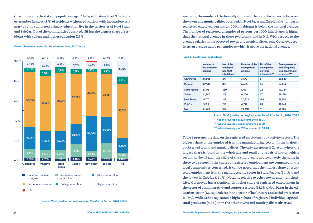Chart 1 presents the data on population aged 15+ by education level. The highest number (almost 45%) of residents without education, with incomplete primary or only completed primary education live in the territories of Novi Pazar and Zaječar. Out of the communities observed, Niš has the biggest share of residents with college and higher education (23%).

#### Chart 1. Population aged 15+, by education level, 2011 Census



Source*: Municipalities and regions in the Republic of Serbia, 2020, SORS*

Analysing the number of the formally employed, there are discrepancies between the towns and municipalities observed. In Novi Pazar and Zaječar, the number of registered employed persons to 1000 inhabitants is below the national average. The number of registered unemployed persons per 1000 inhabitants is higher than the national average in these two towns, and in Niš. With respect to the average salaries in the observed towns and municipalities, only Obrenovac registers an average salary per employee which is above the national average.

#### Table 5. Employment and salaries

|                     | Number of<br>the employed<br>persons | No. of the<br>employed<br>per 1000<br>inhabitants* | Number of the<br>unemployed<br>persons | No. of the<br>unemployed<br>per 1000<br>inhabitants** | <b>Average salaries</b><br>excluding taxes<br>and benefits, per<br>employee*** |
|---------------------|--------------------------------------|----------------------------------------------------|----------------------------------------|-------------------------------------------------------|--------------------------------------------------------------------------------|
| <b>Obrenovac</b>    | 24,606                               | 341                                                | 3.679                                  | 51                                                    | 55.680                                                                         |
| Pančevo             | 37,990                               | 318                                                | 6,635                                  | 56                                                    | 54.134                                                                         |
| <b>Stara Pazova</b> | 21.378                               | 330                                                | 1.419                                  | 22                                                    | 49.044                                                                         |
| Šabac               | 34.980                               | 318                                                | 6,306                                  | 57                                                    | 48,586                                                                         |
| <b>Novi Pazar</b>   | 19,770                               | 185                                                | 20,223                                 | 189                                                   | 41,302                                                                         |
| Zaječar             | 13.199                               | 247                                                | 4,752                                  | 89                                                    | 48,144                                                                         |
| <b>Niš</b>          | 83,728                               | 327                                                | 23,358                                 | 91                                                    | 51,009                                                                         |

Source: *Municipalities and regions in the Republic of Serbia, 2020, SORS*

\* national average in 2019 amounted to 313

\*\* national average in 2019 amounted to 70

\*\*\*national average in 2019 amounted to 54,919

Table 6 presents the data on the registered employment by activity sectors. The biggest share of the employed is in the manufacturing sector. In the majority of observed towns and municipalities. The only exception is Zaječar, where the largest share is found in the wholesale and retail and repair of motor vehicle sector. In Novi Pazar, the share of the employed is approximately the same in these two sectors. If the shares of registered employment are compared in the local communities concerned, it can be noted that the highest share of registered employment is in the manufacturing sector in Stara Pazova (34.1%), and the lowest in Zaječar (14.1%). Notably, relative to other towns and municipalities, Obrenovac has a significantly higher share of registered employment in the sector of administrative and support services (18.3%), Novi Pazar in the education sector (12.0%), Zaječar in the sector of health care and social protection (11.3%), while Šabac registered a higher share of registered individual agricultural producers (8.8%) than the other towns and municipalities observed.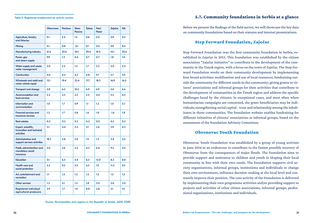#### Table 6. Registered employment by activity sectors

|                                                                      | <b>Obrenovac</b> | Pančevo | <b>Stara</b><br>Pazova | Šabac            | <b>Novi</b><br>Pazar | Zaječar | <b>Niš</b>       |
|----------------------------------------------------------------------|------------------|---------|------------------------|------------------|----------------------|---------|------------------|
| <b>Agriculture, forestry</b><br>and fisheries                        | 0.1              | 2.3     | 1.2                    | 0.6              | 0.3                  | 2.0     | 0.2              |
| Mining                                                               | 0.1              | 0.8     | 0.1                    | 0.1              | 0.3                  | 3.9     | 0.2              |
| <b>Manufacturing industry</b>                                        | 21.5             | 22.6    | 34.1                   | 29.4             | 18.5                 | 14.1    | 25.6             |
| Power, gas<br>and steam supply                                       | 9.9              | 1.3     | 0.4                    | 0.7              | 0.7                  | 1.8     | 1.0 <sub>1</sub> |
| <b>Water supply and waste</b><br>water management                    | 2.0              | 2.3     | 1.2                    | 1.7              | 2.2                  | 2.0     | 2.4              |
| Construction                                                         | 4.0              | 4.5     | 4.2                    | 4.8              | 9.7                  | 3.7     | 3.9              |
| Wholesale and retail and<br>motor vehicle repair                     | 13.1             | 19.4    | 23.4                   | 17.7             | 18.3                 | 16.9    | 16.5             |
| <b>Transport and storage</b>                                         | 5.8              | 6.2     | 10.2                   | 6.0              | 6.9                  | 5.0     | 6.6              |
| <b>Accommodation and</b><br>food services                            | 2.2              | 3.5     | 2.5                    | 2.5              | 4.0                  | 3.5     | 4.3              |
| Information and<br>communication                                     | 1.0              | 1.7     | 0.9                    | 1.1              | 1.2                  | 1.4     | 3.7              |
| <b>Financial services and</b><br>insurance services                  | 1.2              | 1.7     | 0.6                    | 1.6              | 1.0                  | 1.6     | 1.8              |
| <b>Real estates</b>                                                  | 0.2              | 0.2     | 0.2                    | 0.2              | 0.0                  | 0.2     | 0.2              |
| Expert, scientific,<br>Innovation and technical<br><b>activities</b> | 2.1              | 4.4     | 2.5                    | 3.1              | 2.6                  | 2.9     | 4.3              |
| Administrative and<br>support services activities                    | 18.3             | 2.8     | 5.0                    | 1.9 <sup>°</sup> | 1.3                  | 3.4     | 2.6              |
| Public administration and<br>mandatory social<br>insurance           | 3.0              | 5.6     | 2.3                    | 4.2              | 6.4                  | 9.5     | 5.0              |
| <b>Education</b>                                                     | 5.1              | 6.3     | 3.4                    | 6.3              | 12.0                 | 8.2     | 8.8              |
| <b>Health care and</b><br>social protection                          | 5.2              | 9.2     | 3.3                    | 6.3              | 7.5                  | 11.3    | 9.2              |
| Art, entertainment and<br>recreation                                 | 1.1              | 1.5     | 1.2                    | 1.2              | 1.3                  | 1.5     | 1.5              |
| <b>Other services</b>                                                | 1.3              | 2.1     | 1.5                    | 1.8              | 3.0                  | 2.0     | 2.0              |
| <b>Registered individual</b><br>agricultural producers               | 2.9              | 1.7     | 1.6                    | 8.8              | 2.8                  | 5.1     | 0.1              |

Source: *Municipalities and regions in the Republic of Serbia, 2020, SORS*

#### 5.7. Community foundations in Serbia at a glance

Before we present the findings of the field survey, we will showcase the key data on community foundations based on their statutes and Internet presentations.

#### Step Forward Foundation, Zaječar

Step Forward Foundation was the first community foundation in Serbia, established in Zaječar in 2013. This foundation was established by the citizen association "Zaječar Initiative" to contribute to the development of the community in the Timok region, with a focus on the town of Zaječar. The Step Forward Foundation works on their community development by implementing four broad activities: mobilisation and use of local resources; fundraising outside the community for different needs in the community; giving grants to citizens' associations and informal groups for their activities that contribute to the development of communities in the Timok region and address the specific challenges faced by the citizens. In exceptional cases, and most often when humanitarian campaigns are concerned, the grant beneficiaries may be individuals; strengthening social capital - trust and relationship among the inhabitants in those communities. The foundation website enables fundraising for different initiatives of citizens' associations or informal groups, based on the assessment of the foundation Advisory Committee.

#### Obrenovac Youth Foundation

Obrenovac Youth Foundation was established by a group of young activists in June 2014 in an endeavour to contribute to the fastest possible recovery of Obrenovac from the consequences of major floods. The Foundation aims to provide support and assistance to children and youth in shaping their local community in line with their own needs. The Foundation supports civil society organisations, informal groups, institutions and individuals to change their own environment, influence decision-making at the local level and constantly improve their position. The core activity of the Foundation is delivered by implementing their own programme activities and/or providing support to projects and activities of other citizen associations, informal groups, professional organisations, institutions and individuals.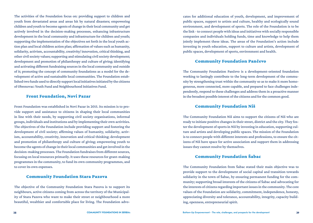The activities of the Foundation focus on: providing support to children and youth from devastated areas and areas hit by natural disasters; empowering children and youth to become agents of change in their local community and get actively involved in the decision-making processes, enhancing infrastructure development in the local community and infrastructure for children and youth; supporting the implementation of the objectives set forth in the local youth action plan and local children action plan; affirmation of values such as humanity, solidarity, activism, accountability, creativity/ innovation, critical thinking, and other civil society values; supporting and stimulating civil society development; development and promotion of philanthropy and culture of giving; identifying and activating different fundraising sources in the local community and outside of it; promoting the concept of community foundations as a model for the development of active and sustainable local communities. The Foundation established two funds used to directly support local initiatives initiated by the citizens of Obrenovac: Youth Fund and Neighbourhood Initiatives Fund.

#### Front Foundation, Novi Pazar

Front Foundation was established in Novi Pazar in 2015. Its mission is to provide support and assistance to citizens in shaping their local communities in line with their needs, by supporting civil society organisations, informal groups, individuals and institutions and by implementing their own activities. The objectives of the Foundation include providing support and fostering the development of civil society; affirming values of humanity, solidarity, activism, accountability, creativity, innovation and critical thinking; development and promotion of philanthropy and culture of giving; empowering youth to become the agents of change in their local communities and get involved in the decision-making processes. The Foundation fundraises from different sources, focusing on local resources primarily. It uses these resources for grant-making programmes in the community, to fund its own community programmes, and to cover its own expenses.

#### Community Foundation Stara Pazova

The objective of the Community Foundation Stara Pazova is to support its neighbours, active citizens coming from across the territory of the Municipality of Stara Pazova who want to make their street or neighbourhood a more beautiful, wealthier and comfortable place for living. The Foundation advo-

cates for additional education of youth, development, and improvement of public spaces, support to artists and culture, healthy and ecologically sound environment, and development of sports. The role of the Foundation is to be the link - to connect people with ideas and initiatives with socially responsible companies and individuals holding funds, time and knowledge to help them jointly implement these ideas. The areas of the Foundation's action include investing in youth education, support to culture and artists, development of public spaces, development of sports, environment and health.

#### Community Foundation Pančevo

The Community Foundation Pančevo is a development-oriented foundation working to lastingly contribute to the long-term development of the community by strengthening trust within the community so as to make it more homogeneous, more connected, more capable, and prepared to face challenges independently, respond to these challenges and address them in a proactive manner in the broadest possible interest of the citizens and for the common good.

#### Community Foundation Niš

The Community Foundation Niš aims to support the citizens of Niš who are ready to initiate positive changes in their street, district and the city. They foster the development of sports in Niš by investing in education, supporting culture and artists and developing public spaces. The mission of the Foundation is to connect people with different interests and professions, to ensure the citizens of Niš have space for active association and support them in addressing issues they cannot resolve by themselves.

#### Community Foundation Šabac

The Community Foundation from Šabac stated their main objective was to provide support to the development of social capital and transition towards solidarity in the town of Šabac, by ensuring permanent funding for the community; supporting broad interests of the citizens of Šabac and advocating for the interests of citizens regarding important issues in the community. The core values of the Foundation are solidarity, commitment, independence, honesty, appreciating diversity and tolerance, accountability, integrity, capacity building, openness, entrepreneurial spirit.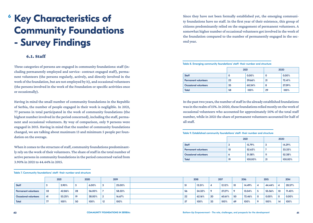## <span id="page-21-0"></span>**Key Characteristics of Community Foundations - Survey Findings 6**

## 6.1. Staff

Three categories of persons are engaged in community foundations: staff (including permanently employed and service- contract engaged staff), permanent volunteers (the persons regularly, actively, and directly involved in the work of the foundation, but are not employed by it), and occasional volunteers (the persons involved in the work of the Foundation or specific activities once or occasionally).

Having in mind the small number of community foundations in the Republic of Serbia, the number of people engaged in their work is negligible. In 2021, 77 persons in total participated in the work of community foundations (the highest number involved in the period concerned), including the staff, permanent and occasional volunteers. By way of comparison, only 9 persons were engaged in 2015. Having in mind that the number of community foundations changed, we are talking about maximum 13 and minimum 5 people per foundation on the average.

When it comes to the structure of staff, community foundations predominantly rely on the work of their volunteers. The share of staff in the total number of active persons in community foundations in the period concerned varied from 3.90% in 2021 to 44.44% in 2015.

Since they have not been formally established yet, the emerging community foundations have no staff. In the first year of their existence, this group of citizens predominantly relied on the engagement of permanent volunteers. A somewhat higher number of occasional volunteers got involved in the work of the foundation compared to the number of permanently engaged in the second year.

#### Table 8. Emerging community foundations' staff- their number and structure

|                              | 2021 |        | 2020 |          |
|------------------------------|------|--------|------|----------|
| <b>Staff</b>                 | υ    | 0.00%  | 0    | $0.00\%$ |
| <b>Permanent volunteers</b>  | 23   | 39.66% | 21   | 72.41%   |
| <b>Occasional volunteers</b> | 35   | 60.34% | 8    | 27.59%   |
| Total                        | 58   | 100%   | 29   | 100%     |

In the past two years, the number of staff in the already established foundations was in the realm of 15%. In 2020, these foundations relied mostly on the work of occasional volunteers who accounted for approximately 50% of the total staff number, while in 2021 the share of permanent volunteers accounted for half of all staff.

#### Table 9. Established community foundations' staff- their number and structure

|                              | 2021 |         |    | 2020    |
|------------------------------|------|---------|----|---------|
| <b>Staff</b>                 | з    | 15.79%  | 3  | 14.29%  |
| <b>Permanent volunteers</b>  | 10   | 52.63%  |    | 33.33%  |
| <b>Occasional volunteers</b> | o    | 31.58%  |    | 52.38%  |
| <b>Total</b>                 | 19   | 100.00% | 21 | 100.00% |

|  | Table 7. Community foundations' staff- their number and structure |  |  |  |
|--|-------------------------------------------------------------------|--|--|--|
|--|-------------------------------------------------------------------|--|--|--|

|                              |    | 2021   |    | 2020   |    | 2019   |    | 2018   |                | 2017    |         | 2016   |          | 2015   |     | 2014   |
|------------------------------|----|--------|----|--------|----|--------|----|--------|----------------|---------|---------|--------|----------|--------|-----|--------|
| Staff                        |    | 3.90%  | -3 | 6.00%  |    | 25.00% |    | 13.51% | $\overline{a}$ | 12.12%  | 10      | 14.49% |          | 44.44% |     | 28.57% |
| <b>Permanent volunteers</b>  | 33 | 42.86% | 28 | 56.00% |    | 58.33% | 56 | 24.32% | $\circ$        | 27.27%  | $\circ$ | 13.04% |          | 55.56% | 10  | 71.43% |
| <b>Occasional volunteers</b> | 41 | 53.25% | 19 | 38.00% |    | 16.67% | 22 | 62.16% | -20            | 60.61%  | 50      | 72.46% | $\Omega$ | 0.00%  | - 0 | 0.00%  |
| <b>Total</b>                 | 77 | 100%   | 50 | 100%   | 12 | 100%   |    | 100%   | 33             | $100\%$ | 69      | 100%   |          | 100%   | 14  | 100%   |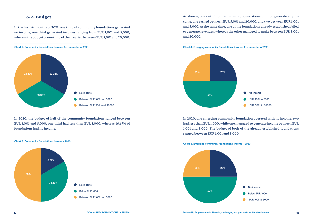### 6.2. Budget

In the first six months of 2021, one third of community foundations generated no income, one third generated incomes ranging from EUR 1,001 and 5,000, whereas the budget of one third of them varied between EUR 5,001 and 20,000.





In 2020, the budget of half of the community foundations ranged between EUR 1,001 and 5,000, one third had less than EUR 1,000, whereas 16.67% of foundations had no income.



As shown, one out of four community foundations did not generate any income, one earned between EUR 5,001 and 20,000, and two between EUR 1,001 and 5,000. At the same time, one of the foundations already established failed to generate revenues, whereas the other managed to make between EUR 5,001 and 20,000.





In 2020, one emerging community foundation operated with no income, two had less than EUR 1,000, while one managed to generate income between EUR 1,001 and 5,000. The budget of both of the already established foundations ranged between EUR 1,001 and 5,000.

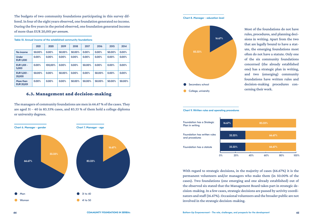The budgets of two community foundations participating in this survey differed. In four of the eight years observed, one foundation generated no income. During the five years in the period observed, one foundation generated income of more than EUR 20,001 *per annum.*

|  |  | Table 10. Annual income of the established community foundations |
|--|--|------------------------------------------------------------------|
|--|--|------------------------------------------------------------------|

|                                  | 2021   | 2020    | 2019   | 2018   | 2017   | 2016   | 2015   | 2014   |
|----------------------------------|--------|---------|--------|--------|--------|--------|--------|--------|
| No income                        | 50.00% | 0.00%   | 50.00% | 50.00% | 0.00%  | 0.00%  | 50.00% | 0.00%  |
| <b>Under</b><br><b>EUR 1,000</b> | 0.00%  | 0.00%   | 0.00%  | 0.00%  | 0.00%  | 0.00%  | 0.00%  | 0.00%  |
| <b>EUR 1.001 -</b><br>5,000      | 0.00%  | 100.00% | 0.00%  | 0.00%  | 50.00% | 0.00%  | 0.00%  | 0.00%  |
| <b>EUR 5,001 -</b><br>20,000     | 50.00% | 0.00%   | 50.00% | 0.00%  | 0.00%  | 50.00% | 0.00%  | 0.00%  |
| More than<br><b>EUR 20,001</b>   | 0.00%  | 0.00%   | 0.00%  | 50.00% | 50.00% | 50.00% | 50.00% | 50.00% |

#### 6.3. Management and decision-making

The managers of community foundations are men in 66.67 % of the cases. They are aged 31 – 40 in 83.33% cases, and 83.33 % of them hold a college diploma or university degrees.



Chart 8. Manager - education level



Most of the foundations do not have rules, procedures, and planning decisions in writing. Apart from the two that are legally bound to have a statute, the emerging foundations most often do not have a statute. Only one of the six community foundations concerned (the already established one) has a strategic plan in writing, and two (emerging) community foundations have written rules and decision-making procedures concerning their work.



With regard to strategic decisions, in the majority of cases (66.67%) it is the permanent volunteers and/or managers who make them (in 50.00% of the cases). Two foundations (one emerging and one already established) out of the observed six stated that the Management Board takes part in strategic decision-making. In a few cases, strategic decisions are passed by activity coordinators and staff (16.67%). Occasional volunteers and the broader public are not involved in the strategic decision-making.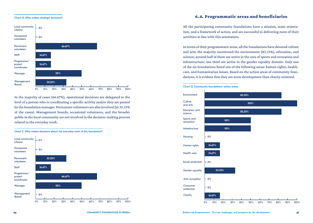#### Chart 10. Who makes strategic decisions?



In the majority of cases (66.67%), operational decisions are delegated to the level of a person who is coordinating a specific activity and/or they are passed by the foundation manager. Permanent volunteers are also involved (in 33.33% of the cases). Management boards, occasional volunteers, and the broader public in the local community are not involved in the decision-making process related to the everyday work.



#### 6.4. Programmatic areas and beneficiaries

All the participating community foundations have a mission, main orientation, and a framework of action, and are successful in delivering most of their activities in line with this orientation.

In terms of their programmatic areas, all the foundations have denoted culture and arts; the majority mentioned the environment (83.33%), education, and science; around half of them are active in the area of sports and recreation and infrastructure; one third are active in the gender equality domain. Only one of the six foundations listed one of the following areas: human rights, healthcare, and humanitarian issues. Based on the action areas of community foundations, it is evident that they are more development than charity oriented.



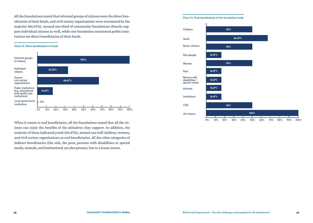All the foundations stated that informal groups of citizens were the direct beneficiaries of their funds, and civil society organisations were mentioned by the majority (66.67%). Around one third of community foundations directly support individual citizens as well, while one foundation mentioned public institutions are direct beneficiaries of their funds.

#### Chart 13. Direct beneficiaries of funds



When it comes to end beneficiaries, all the foundations stated that all the citizens can enjoy the benefits of the initiatives they support. In addition, the majority of them indicated youth (66.67%), around one half children, women, and civil society organisations as end beneficiaries. All the other categories of indirect beneficiaries (the sick, the poor, persons with disabilities or special needs, animals, and institutions) are also present, but to a lesser extent.

#### Chart 14. Final beneficiaries of the foundation funds

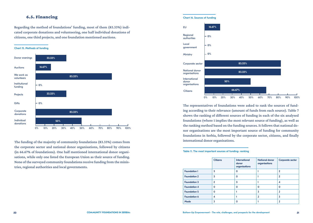### 6.5. Financing

Regarding the method of foundations' funding, most of them (83.33%) indicated corporate donations and volunteering, one half individual donations of citizens, one third projects, and one foundation mentioned auctions.

#### Chart 15. Methods of funding



The funding of the majority of community foundations (83.33%) comes from the corporate sector and national donor organisations, followed by citizens (in 66.67% of foundations). One half mentioned international donor organisations, while only one listed the European Union as their source of funding. None of the surveyed community foundations receive funding from the ministries, regional authorities and local governments.

#### Chart 16. Sources of funding 0%  $.0%$ 0% 16.67% 83.33% Regional authorities EU Local government **Ministry** Corporate sector

50%

66.67%

0% 10% 20% 30% 40% 50% 60% 70% 80% 90% 100% The representatives of foundations were asked to rank the sources of funding according to their relevance (amount of funds from each source). Table 7 shows the ranking of different sources of funding in each of the six analysed foundations (where 1 implies the most relevant source of funding), as well as the ranking method based on the funding sources. It follows that national donor organisations are the most important source of funding for community foundations in Serbia, followed by the corporate sector, citizens, and finally international donor organisations.

83.33%

#### Table 11. The most important sources of funding- ranking

**Citizens** 

National donor organisations International donor organisations

|                     | <b>Citizens</b> | <b>International</b><br>donor<br>organisations | <b>National donor</b><br>organisations | Corporate sector |
|---------------------|-----------------|------------------------------------------------|----------------------------------------|------------------|
| <b>Foundation 1</b> | 3               | Ω                                              |                                        | $\overline{2}$   |
| <b>Foundation 2</b> | 3               | Ω                                              |                                        | $\overline{2}$   |
| <b>Foundation 3</b> | $\overline{2}$  | 3                                              |                                        | 4                |
| <b>Foundation 4</b> | 0               | Ω                                              | ი                                      | O                |
| <b>Foundation 5</b> | O               |                                                | 3                                      | 2                |
| <b>Foundation 6</b> | 4               |                                                |                                        | 3                |
| Mode                | 3               | Ο                                              |                                        | 2                |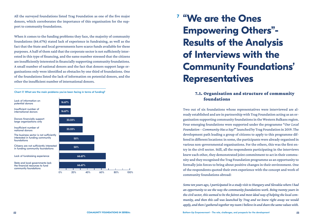All the surveyed foundations listed Trag Foundation as one of the five major donors, which corroborates the importance of this organisation for the support to community foundations.

When it comes to the funding problems they face, the majority of community foundations (66.67%) stated lack of experience in fundraising, as well as the fact that the State and local governments have scarce funds available for these purposes. A half of them said that the corporate sector is not sufficiently interested in this type of financing, and the same number stressed that the citizens are insufficiently interested in financially supporting community foundations. A small number of national donors and the fact that donors support large organisations only were identified as obstacles by one third of foundations. One of the foundations listed the lack of information on potential donors, and the other the insufficient number of international donors.

Chart 17. What are the main problems you've been facing in terms of funding?



# **"We are the Ones 7Empowering Others"- Results of the Analysis of Interviews with the Community Foundations' Representatives**

## 7.1. Organisation and structure of community foundations

Two out of six foundations whose representatives were interviewed are already established and are in partnership with Trag Foundation acting as an organisation supporting community foundations in the Western Balkans region. Four emerging foundations were supported under the programme "*Our Local Foundation – Community Has a Say!*" launched by Trag Foundation in 2019. The development path leading a group of citizens to apply to this programme differed in different locations: in some, the participants were already organised in various non-governmental organisations. For the others, this was the first entry in the civil sector. Still, all the respondents participating in the interviews knew each other, they demonstrated joint commitment to act in their community and they recognised the Trag Foundation programme as an opportunity to formally join forces to bring about positive changes in their environment. One of the respondents quoted their own experience with the concept and work of community foundations abroad:

*Some ten years ago, I participated in a study visit to Hungary and Slovakia where I had an opportunity to see the way the community foundations work. Being twenty years in the civil sector, this seemed to be the fairest and most ideal way of helping the local community, and then this call was launched by Trag and we knew right away we would apply, and then I gathered together my team I believe in and share the same values with.*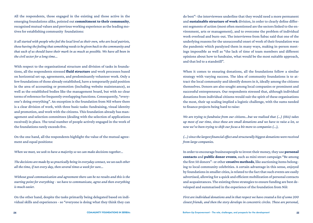All the respondents, those engaged in the existing and those active in the emerging foundations alike, pointed out commitment to their community, recognised mutual values and previous working experience as the leading motives for establishing community foundations:

*It all started with people who feel the local level as their own, who are local patriots, those having the feeling that something needs to be given back to the community and that each of us should leave their mark in as much as possible. We have all been in the civil sector for a long time...*

With respect to the organisational structure and division of tasks in foundations, all the respondents stressed fluid structure and work processes based on horizontal set-up, agreements, and predominantly volunteer work. Only a few foundations of those already established, have a temporarily paid position in the area of accounting or promotion (including website maintenance), as well as the established bodies like the management board, but with no clear terms of reference for frequently overlapping functions. Consequently, "everyone's doing everything". An exception is the foundation from Niš where there is a clear division of work, with three basic tasks: fundraising, visual identity and promotion, and work with the citizens. This foundation already has management and selection committees (dealing with the selection of applications received) in place. The total number of people actively engaged in the work of the foundations rarely exceeds five.

On the one hand, all the respondents highlight the value of the mutual agreement and equal positions:

*When we meet, we seek to have a majority so we can make decisions together...* 

*The decisions are made by us practically being in everyday contact, we see each other all the time, if not every day, then several times a week for sure...* 

*Without good communication and agreement there can be no results and this is the starting point for everything - we have to communicate, agree and then everything is much easier.*

On the other hand, despite the tasks primarily being delegated based on individual skills and experiences - so "everyone is doing what they think they can

do best"- the interviewees underline that they would need a more permanent and sustainable structure of work division, in order to clearly define different segments of action (most often mentioned are the sectors linked to the environment, arts or management), and to overcome the problem of individual work overload and burn-out. The interviewee from Šabac said that one of the underlying reasons for the unsuccessful onset of work of their foundation was the pandemic which paralyzed them in many ways, making in-person meetings impossible as well as "the lack of time of team members and different opinions about how to fundraise, what would be the most suitable approach, and that led to a standstill".

When it comes to ensuring donations, all the foundations follow a similar strategy with varying success. The idea of community foundations is to attract the local community and identify donors in it, ideally among the citizens themselves. Donors are also sought among local companies or prominent and successful entrepreneurs. Our respondents stressed that, although individual donations from individual citizens would suit the spirit of these organisations the most, their up scaling implied a logistic challenge, with the sums needed to finance projects being hard to raise:

*We are trying to fundraise from our citizens...but we realised that (...) (this) takes up most of our time, since these are small donations and we have to raise a lot, so now we've been trying to shift our focus a bit more to companies (...),* 

*(...) since the largest financial effect and structurally biggest donations were received from large companies.*

In order to encourage businesspeople to invest their money, they use **personal** contacts and public donor events, such as mini street campaign "Be among the first 50 donors"- or other creative methods, like auctioning items belonging to local community celebrities. A certain advantage in this sense, enjoyed by foundations in smaller cities, is related to the fact that such events are easily advertised, allowing for a quick and efficient mobilization of personal contacts and acquaintances. The existing three strategies to ensure funding are best developed and summarised in the experience of the foundation from Niš:

*First are individual donations and in that respect we have created a list of some 200 closest friends, and then the story develops in concentric circles. These are personal,*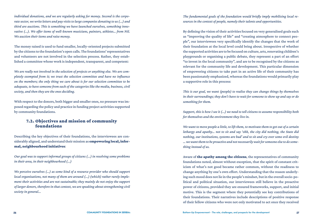*individual donations, and we are regularly asking for money. Second is the corporate sector, we write letters and pay visits to large companies donating to us (...) and third are auctions. This is something we have launched ourselves, something innovative (...). We offer items of well-known musicians, painters, athletes… from Niš. We auction their items and raise money.*

The money raised is used to fund smaller, locally-oriented projects submitted by the citizens to the foundation's open calls. The foundations' representatives and volunteers are not involved in the selection process. Rather, they established a committee whose work is independent, transparent, and competent:

*We are really not involved in the selection of projects or anything else. We are completely exempted from it; we trust the selection committee and have no influence on the members; the only thing we care about is for our selection committee to be adequate, to have someone from each of the categories like the media, business, civil society, and then they are the ones deciding.*

With respect to the donors, both bigger and smaller ones, no pressure was imposed regarding the policy and practice in funding project activities supported by community foundations.

## 7.2. Objectives and mission of community foundations

Describing the key objectives of their foundations, the interviewees are considerably aligned, and understand their mission as empowering local, informal, neighbourhood initiatives:

*Our goal was to support informal groups of citizens (...) in resolving some problems in their area, in their neighbourhood (...)* 

*We perceive ourselves (...) as some kind of a resource provider who should support local organisations, not many of them are around (...) (which) rather rarely implement their activities and are not sustainable; they mainly do not enjoy the support of larger donors, therefore in that context, we are speaking about strengthening civil society in general...* 

*The fundamental goals of the foundation would briefly imply mobilising local resources in the context of people, namely their talents and opportunities.*

By defining the vision of their activities focused on very generalised goals such as "improving the quality of life" and "creating atmosphere to connect people", our interviewees very specifically identify the changes that the work of their foundation at the local level could bring about. Irrespective of whether the supported activities are to be focused on culture, arts, renovating children's playgrounds or organising a public debate, they represent a part of an effort "to invest in the local community", and are to be recognised by the citizens as relevant for the community life and development. This particular dimension of empowering citizens to take part in an active life of their community has been passionately emphasized, whereas the foundations would primarily play a supportive role in this process:

*This is our goal, we want (people) to realise they can change things by themselves in their surroundings; they don't have to wait for someone to show up and say or do something for them.* 

*Support, this is how I see it (...) we need to tell citizens to assume responsibility both for themselves and the environment they live in.* 

*We want to move people a little, to lift them, to motivate them to get out of a certain lethargy and apathy… not to sit and say 'ohh, the city did nothing, the State did nothing, our institutions, systems are bad' and to sit and cry over some evil destiny … we want them to be proactive and not necessarily wait for someone else to do something instead of us.*

Aware of the apathy among the citizens, the representatives of community foundations noted, almost without exception, that the spirit of constant criticism of what's not good became rather common, without the readiness to change anything by one's own effort. Understanding that the reason underlying such mood does not lie in the people's mindset, but in the overall socio-political and political situation, our interviewees still believe in the proactive power of citizens, provided they are ensured frameworks, support, and initial motive. This is the segment where they potentially see key contributions of their foundations. Their narratives include descriptions of positive response of their fellow citizens who were not only motivated to act once they received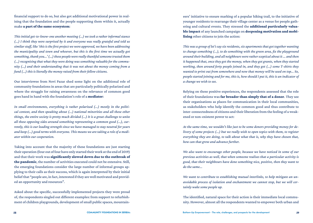financial support to do so, but also got additional motivational power in realising that the foundation and the people supporting them within it, actually make a part of the same ecosystem:

*This initial get-to-know-one another meeting (...) we took a rather informal stance (...) I think they were surprised by it and everyone was really grateful and told us similar stuff, like 'this is the first project we were approved, we have been addressing the municipality and town and whoever, but this is the first time we actually got something, thank you...' (...) these people were really thankful someone trusted them (...) recognising that what they were doing was something valuable for the community (...) and their understanding that it was not about the money coming from a fund (...) this is literally the money raised from their fellow citizens.*

Our interviewee from Novi Pazar shed some light on the additional role of community foundations in areas that are particularly politically polarized and where the struggle for raising awareness on the relevance of common good goes hand in hand with the foundation's role of a mediator:

*In small environments, everything is rather polarized (...) mostly in the political context, and then speaking about (...) national minorities and all these other things, the entire society is pretty much divided (...) It is a great challenge to unite all these opposing sides around something representing a common good (...), currently, this is our leading strength since we have managed to stay neutral for years and keep (...) good terms with everyone. This means we are taking a role of a mediator within our cooperation.*

Taking into account that the majority of these foundations are just starting their operation (four out of four have only started their work at the end of 2019) and that their work was significantly slowed down due to the outbreak of the pandemic, the number of activities executed could not be extensive. Still, the emerging foundations consider the large number of informal groups applying to their calls as their success, which is again interpreted by their initial belief that "people are, in fact, interested if they are well motivated and provided an opportunity and resources".

Asked about the specific, successfully implemented projects they were proud of, the respondents singled out different examples: from support to refurbishment of children playgrounds, development of small public spaces, mountain-

eers' initiative to ensure marking of a popular hiking trail, to the initiative of younger residents to rearrange their village center as a venue for people gathering and cultural events. They stressed the additional particularly valuable impact of any launched campaign on deepening motivation and mobilising other citizens to join the action:

*This was a group of let's say six residents, six apartments that got together wanting to change something (...), to do something with the green area, fix the playground around their building, and all neighbours were rather sceptical about it ... and then it happened that, once they got the money, when they got grants, when they started working, then around forty people joined in, and they got (...) some T-shirts they wanted to print out from somewhere and now that money will be used on top... So, people started joining and for me, this is, how should I put it, this is an indicator of a change we wish to see.*

Relying on these positive experiences, the respondents assessed that the role of their foundations was far broader than simply that of a donor. They see their organisations as places for communication in their local communities, as stakeholders who help identify the common good and thus contribute to inter-connectedness of citizens and their liberation from the feeling of a weakened or non-existent power to act:

*At the same time, we wouldn't like just to be some donors providing money for delivery of some projects (...) but we really wish to open topics with them, to register everything they are doing, to talk about what that is, why they have chosen that, how can that grow and advance further.* 

*We also want to encourage other people, because we have noticed in some of our previous activities as well, that when someone realises that a particular activity is good, that their neighbours have done something nice, positive, then they want to do the same...* 

*We want to contribute to establishing mutual interlinks, to help mitigate an unavoidable process of isolation and enchantment we cannot stop, but we will certainly wake some people up.*

The identified, natural space for their action is their immediate local community. However, almost all the respondents wanted to empower both urban and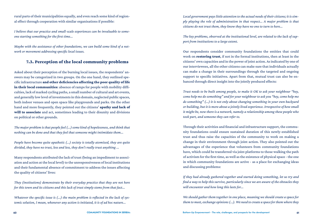rural parts of their municipalities equally, and even reach some kind of regional effect through cooperation with similar organisations if possible:

*I believe that our practice and small-scale experiences can be invaluable to someone starting something for the first time...* 

*Maybe with the assistance of other foundations, we can build some kind of a network or movement addressing specific local issues.*

## 7.3. Perception of the local community problems

Asked about their perception of the burning local issues, the respondents' answers may be categorized in two groups. On the one hand, they outlined specific infrastructure and other deficiencies affecting the poor quality of life in their local communities: absence of ramps for people with mobility difficulties, lack of marked cycling paths, a small number of cultural and art events, and generally low level of investments in this domain, neglected public spaces, both indoor venues and open space like playgrounds and parks. On the other hand and more frequently, they pointed out the citizens' apathy and lack of will to associate and act, sometimes leading to their disunity and divisions on political or other grounds.

*The major problem is that people feel (...) some kind of hopelessness, and think that nothing can be done and that they feel that someone might intimidate them...* 

*People have become quite apathetic (...) society is totally atomized, they are quite divided, they have no trust, less and less, they don't really trust anything ...*

Many respondents attributed the lack of trust (being an impediment to association and action at the local level) to the unresponsiveness of local institutions and their fundamental absence of commitment to address the issues affecting the quality of citizens' lives:

*They (institutions) demonstrate by their everyday practice that they are not here for this town and its citizens and this lack of trust simply stems from that fact...* 

*Whatever the specific issue is (...) the main problem is reflected in the lack of systemic solution, I mean, whenever any action is initiated, it is of ad hoc nature...*

*Local government pays little attention to the actual needs of their citizens; it is simply playing the role of administration in that respect... A major problem is that citizens do not trust them, they know they have no one to turn to here...* 

*The key problems, observed at the institutional level, are related to the lack of support from institutions to a large extent.*

Our respondents consider community foundations the entities that could work on **restoring trust**, if not in the formal institutions, then at least in the citizens' own capacities and in the power of joint action. As indicated by one of our interviewees, all the other citizens can make sure that individuals actually can make a change in their surroundings through the targeted and ongoing support to specific initiatives. Apart from that, mutual trust can also be enhanced through direct insight into the jointly produced effects:

*Trust needs to be built among people, to make it OK to ask your neighbour "hey, come help me do something" and for your neighbour to ask you "hey, come help me do something" (...) it is not only about changing something in your own backyard or building, but it is more about a jointly lived experience. Irrespective of how small it might be, now there is a network, namely a relationship among these people who took part, and someone they can refer to.*

Through their activities and financial and infrastructure support, the community foundations could ensure sustained duration of this newly-established trust and thus raise the capacities of the community to work on making a change in their environment through joint action. They also pointed out the advantages of the experience that volunteers from community foundations have, which could be transferred via joint platforms to those walking the path of activism for the first time, as well as the existence of physical space - the one in which community foundations are active - as a place for exchanging ideas and discussing problems:

*If they had already gathered together and started doing something, let us try and find a way to help this survive, particularly since we are aware of the obstacles they will encounter and how long this lasts for...* 

*We should gather them together in one place, meaning we should create a space for them to meet, exchange opinions (...). We need to create a space for them where they*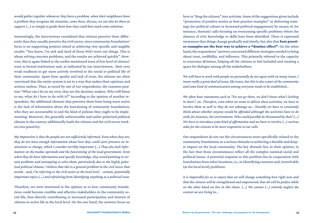*would gather together whenever they have a problem, when their neighbours have a problem they recognise the situation, come there, discuss, we can also be there as support (...) or simply to guide them how they could best reach some solutions.*

Interestingly, the interviewees considered that citizens perceive them differently than they usually perceive the civil sector, since community foundations' focus is on supporting projects aimed at achieving very specific and tangible results: "You know, I'm sick and tired of those NGO worn out things. This is about solving concrete problems, and the results are achieved quickly". However, this is again linked to the earlier mentioned issue of low level of citizens' trust in formal institutions and, as indicated by our interviewees, their very weak readiness to get more actively involved in the social or political life of their community. Apart from apathy and lack of trust, the citizens are often convinced that the entire system is set in a way that makes their opinions and actions useless. Thus, as noted by one of our respondents, the common position "What can I do on my own, they are the decision-makers. Who will listen to me, what do I have to do with it?" According to the opinion of another respondent, the additional element that prevents them from being more active is the lack of information about the functioning of community foundations, who they are accountable to and the kind of policies they ought to be implementing. Moreover, the generally unfavourable and rather polarized political climate in the country additionally leads the citizens and the civil sector workers into passivity:

*My impression is that the people are not sufficiently informed. Even when they are, they do not have enough information about how they could exert pressure on institutions to change, which I consider terribly important (...) They also lack information on the modus operandi and the functioning of the local government. Even when they do have information and specific knowledge, they avoid pointing to certain problems and attempting to solve them, particularly due to the highly polarized political climate. I believe that this is a general problem in the civil sector that avoids - and, I'm referring to the civil sector at the local level - certain, potentially important topics (...) and refraining from identifying anything as a political issue.*

Therefore, we were interested in the opinion as to how community foundations could become credible and effective stakeholders in the community social life, thus directly contributing to increased participation and interest of citizens in active life at the local level. On the one hand, the answers focus on

how to "drag the citizens" into activism. Some of the suggestions given include "promotion of positive stories as best practice examples" or delivering trainings (on political culture or increased political engagement) by means of, for instance, thematic calls focusing on overcoming specific problems where the absence of civic knowledge or skills have been identified. There is expressed awareness that things change gradually and slowly, but also that best practice examples are the best way to achieve a "domino effect". On the other hand, the respondents' answers concerned different strategies needed to bring about trust, credibility, and influence. This primarily referred to the capacity to overcome divisions, helping all the citizens to feel included and creating a space for dialogue among all the stakeholders:

*We will have to work with people we personally do not agree with on many issues, I mean really a great deal of issues, life issues, but this is also a part of the community and some kind of communication among everyone needs to be established...* 

*We often hear statements such as "Do not go there, we don't know what's lurking in there", etc. Therefore, even when we want to deliver these activities, we have to involve them as well so they do not sabotage us... literally we have to constantly think about whether anyone would be offended although the activities have to do with, for instance, the environment. Who could possibly be threatened by that? (...) We have to introduce some kind of affirmation and we have to involve (...) various sides for the citizens to be more responsive to our calls.*

Our respondents do not see the circumstances more specifically related to the community foundations as a serious obstacle to achieving a durable and deeper impact on the local community. The key obstacle lies, in their opinion, in the fact that these circumstances reflect all the complex national social and political issues. A potential response to this problem lies in cooperation with foundations from other locations, i.e., in identifying common and, irresolvable (at the local level) problems:

*It is impossible for us to expect that we will change something here right now and that the citizens will be strengthened and empowered; that all will be perfect while on the other hand we live in this chaos. (...) We cannot (...) entirely neglect the context we are living in...*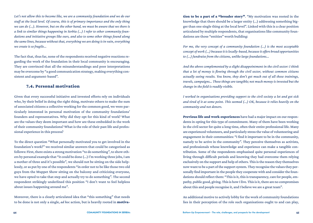*Let's not allow this to become like, we are a community foundation and we do our stuff at the local level. Of course, this is of primary importance and the only thing we can do (...). However, but on the other hand, we must be aware that we there is a link to similar things happening in Serbia (...) I refer to other community foundations and initiative groups like ours, and also to some other things found along the same lines, because without that, everything we are doing is in vain, everything we create is so fragile...*

The fact that, thus far, none of the respondents received negative reactions regarding the work of the foundation in their local community is encouraging. They are convinced that all the misunderstandings and poor interpretations may be overcome by "a good communication strategy, making everything consistent and argument-based".

#### 7.4. Personal motivation

Given that every successful initiative and invested efforts rely on individuals who, by their belief in doing the right thing, motivate others to make the sum of associated citizens a collective working for the common good, we were particularly interested in personal motivation of the community foundations' founders and representatives. Why did they opt for this kind of work? What are the values they deem important and how are these embedded in the work of their community foundations? What is the role of their past life and professional experience in this process?

To the direct question "What personally motivated you to get involved in the foundation's work?" we received similar answers that could be categorised as follows: First, there exists a strong motivation "to do something", to show others by personal example that "it could be done (...) I'm working three jobs, I am a mother of three and it's possible", we should not be sitting on the side helplessly, or as put by one of the respondents "in order not to be like those two old guys from the Muppet Show sitting on the balcony and criticizing everyone, we have opted to take that step and actually try to do something". The second respondent strikingly underlined this position "I don't want to feel helpless about issues happening around me".

Moreover, there is a clearly articulated idea that "this something" that needs to be done is not only a single, *ad hoc* action, but is heavily rooted in motivation to be a part of a "broader story". "My motivation was rooted in the knowledge that there should be a larger entity (...) addressing something bigger than one single thing at the local level". Linked with this is a clear position articulated by multiple respondents, that organisations like community foundations are those "entities" worth building:

*For me, the very concept of a community foundation (...) is the most acceptable concept of work (...) because it is locally-based, because it offers broad opportunities to (...) fundraise from the citizens, unlike large foundations...*

*And the above complemented by a slight disappointment in the civil sector: I think that a lot of money is flowing through the civil sector, without common citizens actually seeing results. You know, they don't get much out of all these trainings, travels, campaigns… These things are tangible; not much money is invested but the change in the field is readily visible.* 

*I worked in organisations providing support to the civil society a lot and got sick and tired of it at some point. This seemed (...) OK, because it relies heavily on the community and not donors.*

Previous life and work experiences have had a major impact on our respondents in opting for this type of commitment. Many of them have been working in the civil sector for quite a long time, often their entire professional life. Many are experienced volunteers, and particularly stress the value of volunteering and engagement in their communities: "I find it important to be in the community, namely to be active in the community". They perceive themselves as activists, and professionals whose knowledge and experience can make a tangible contribution. Some of the respondents emphasised quite personal experiences of living through difficult periods and knowing they had overcome them relying exclusively on the support and help of others. This is the reason they themselves now want to be a part of the support system. They recognise the values they personally find important in the people they cooperate with and consider the foundations should reflect them: "This is it, this is transparency, care for people, empathy, public good, giving. This is how I live. This is it, there are no compromises about this and people recognise it, and I believe we are a great team".

An additional motive to actively lobby for the work of community foundations lies in their perception of the role such organisations ought to and can play,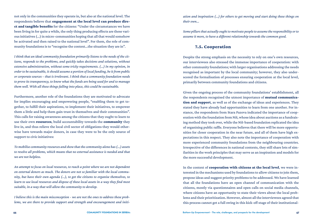not only in the communities they operate in, but also at the national level. The respondents believe that engagement at the local level can produce direct and tangible benefits for the citizens: "Under the circumstances we have been living in for quite a while, the only thing producing effects are these various initiatives (...) in micro-communities hoping that all that would somehow be activated and then raised to the national level". For them, the role of community foundations is to "recognise the context...the situation they are in".

*I think that an ideal community foundation primarily listens to the needs of the citizens, responds to the problems, and quickly takes decisions and solutions, without extensive administration, without some tricky requirements. (...) In my opinion, in order to be sustainable, it should assume a portion of local funding, be it from public or corporate sources – that is irrelevant. I think that a community foundation needs to prove its transparency, to know what the funds are being used for and to manage them well. With all these things falling into place, this could be sustainable.*

Furthermore, another role of the foundations they are motivated to advocate for implies encouraging and empowering people, "enabling them to get together, to fulfill their aspirations, to implement their initiatives, to empower them a little and help them gain trust in themselves and their communities". This calls for raising awareness among the citizens that they ought to learn to use their own **resources**, build accountability towards the **community** they live in, and thus relieve the local civil sector of obligations they would otherwise have towards major donors, in case they were to be the only source of support to civic initiatives:

*To mobilise community resources and show that the community alone has (...) assets to resolve all problems, which means that no external assistance is needed and that we are not helpless.* 

*An attempt to focus on local resources, to reach a point where we are not dependent on external donors as much. The donors are not so familiar with the local community, but have their own agenda (...), to get the citizens to organise themselves, to learn to use local resources and dispose of these local assets in a way they find most suitable, in a way that will allow the community to develop.*

*I believe this is the main misconception - we are not the ones to address these problems, we are there to provide support and strength and encouragement and initi-* *ation and inspiration (...) for others to get moving and start doing these things on their own...* 

*Some pillars that actually ought to motivate people to assume the responsibility or to assume it more, to have a different relationship towards the common good.*

### 7.5. Cooperation

Despite the strong emphasis on the necessity to rely on one's own resources, our interviewees also stressed the immense importance of cooperation: with other community foundations; with larger organisations addressing the needs recognised as important by the local community; however, they also underscored the formalisation of processes ensuring cooperation at the local level, primarily between community foundations and citizens.

Given the ongoing process of the community foundations' establishment, all the respondents recognised the utmost importance of mutual communication and support, as well as of the exchange of ideas and experiences. They stated they have already had opportunities to learn from one another. For instance, the respondents from Stara Pazova indicated the importance of cooperation with the foundation from Niš, whose idea about auctions as a fundraising method they took over, while the Niš-based foundation replicated the idea of organising public raffle. Everyone believes that there will be more opportunities for closer cooperation in the near future, and all of them have high expectations in this respect. They also note the importance of cooperation with more experienced community foundations from the neighbouring countries. Irrespective of the differences in national contexts, they still share lots of similarities in the work principles that may serve as an inspiration and models for the more successful development.

In the context of **cooperation with citizens at the local level**, we were interested in the mechanisms used by foundations to allow citizens to join them, propose ideas and suggest priority problems to be addressed. We have learned that all the foundations have an open channel of communication with the citizens, mostly via questionnaires and open calls on social media channels, where citizens have an opportunity to state their views about the local problems and their prioritization. However, almost all the interviewees agreed that this process cannot get a full swing in this kick-off stage of their institutional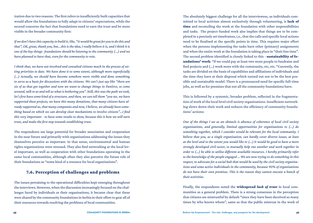ization due to two reasons. The first refers to insufficiently built capacities that would allow the foundations to fully adapt to citizens' expectations, while the second concerns the fact that foundations need to earn the trust and be more visible in the broader community first:

*If we don't have this capacity to build it, like, "it would be great for you to do this and that", OK, great, thank you, but...this is the idea, I really believe it is, and I think it is one of the key things- foundations should be listening to the community (...) and we have planned to have that, even for the community to vote.*

*I think that, we have not involved and consulted citizens much in the process of setting priorities to date. We have done it to some extent, although more superficially (...) Actually, we should have become somehow more visible and done something to serve as a basis for discussions with the citizens. We can't just say like "there are six of us that got together and now we want to change things in Pančevo, so come around, talk to us and tell us what is bothering you". Still, this was the path we took, let's first have some kind of a structure, and then, we can tell them "you see, we have supported these projects, we have this many donations, that many citizens have already supported us, that many companies and now, I believe, we already have something based on which we can develop clear mechanisms to involve citizens"...I find this very important - to have some results to show, because this is how we will earn trust, and make the first step towards establishing trust.*

The respondents see large potential for broader association and cooperation in the near future and primarily with organisations addressing the issues they themselves perceive as important. In that sense, environmental and human rights organisations were stressed. They also find networking at the local level important, as well as cooperation with other foundations operating in the same local communities, although often they also perceive the future role of their foundations as "some kind of a resource for local organisations".

## 7.6. Perception of challenges and problems

The issues pertaining to the operational difficulties kept emerging throughout the interviews. However, when the discussion increasingly focused on the challenges faced by individuals or their organisations, it became clear that these were shared by the community foundations in Serbia in their effort to gear all of their resources towards resolving the problems of local communities.

The absolutely biggest challenge for all the interviewees, as individuals committed to local activism almost exclusively through volunteering, is **lack of** time and reconciling the work at the foundation with other responsibilities and tasks. The project-funded work also implies that things are to be completed in a precisely set timeframes, i.e., that the calls and specific local actions need to be finalised at the specific points in time. This requires major effort when the persons implementing the tasks have other (primary) assignments and when the entire work at the foundation is taking place in "their free time". The second problem identified is closely linked to this - sustainability of foundations' work: "If we could pay at least two more people to fundraise and find projects and (...) work more with the community, etc, etc. "Currently, the tasks are divided on the basis of capabilities and affiliations of individuals and the time they have at their disposal which turned out not to be the best possible and sustainable model. There is a pronounced need for specific full-time jobs, as well as for premises that not all the community foundations have.

This is followed by a systemic, broader problem, reflected in the fragmentation of work of the local level civil society organisations. Insufficient networking slows down their work and reduces the efficiency of community foundations' actions:

*One of the things I see as an obstacle is absence of coherence of local civil society organisations, and generally, limited opportunities for organisations to (...) do something together, which I consider would be relevant for the local community. I believe that you, as a single organisation, can hardly cover diverse issues, at least at the level and to the extent you would like to (...) It would be good to have a more strongly developed civil sector, to mutually help one another and work together in order to (...) be able to utilise different available resources. I hereby primarily refer to the knowledge of the people engaged … We are now trying to do something in this respect, to advocate for a social hub that would be used by the civil society organisations and some active individuals in the community, because 90% of organisations do not have their own premises. This is the reason they cannot execute a bunch of their activities.*

Finally, the respondents noted the widespread *lack of trust* in local communities as a general problem. There is a strong consensus in the perception that citizens are mistrustful by default "since they have been deceived so many times by who knows whom", same as that the public mistrust in the work of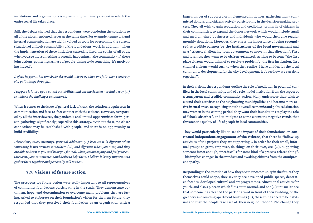institutions and organisations is a given thing, a primary context in which the entire social life takes place.

Still, the debate showed that the respondents were pondering the solutions to all of the aforementioned issues at the same time. For example, teamwork and internal communication are highly valued as tools for overcoming the current situation of difficult sustainability of the foundations' work. In addition, "when the implementation of these initiatives started, it lifted the spirits of all of us, when you see that something is actually happening in the community (...) these joint actions, gatherings, a mass of people joining to do something, it's motivating indeed".

*It often happens that somebody else would take over, when one falls, then somebody else pulls things through...* 

*I suppose it is also up to us and our abilities and our motivation - to find a way (...) to address the challenges encountered.*

When it comes to the issue of general lack of trust, the solution is again seen in communication and face-to-face contact with the citizens. However, as reported by all the interviewees, the pandemic and limited opportunities for in-person gatherings significantly jeopardise this strategy. Without these, no closer connections may be established with people, and there is no opportunity to build credibility:

*Discussions, talks, meetings, personal addresses (...) because it is different when something is just written somewhere (...), and different when you meet, and they are able to listen to you and hear you for real, what you are saying and feel your enthusiasm, your commitment and desire to help them. I believe it is very important to gather them together and personally talk to them.* 

### 7.7. Visions of future action

The prospects for future action were really important to all representatives of community foundations participating in the study. They demonstrate optimism, hope, and determination to overcome many problems they are facing. Asked to elaborate on their foundation's vision for the near future, they responded that they perceived their foundation as an organisation with a

large number of supported or implemented initiatives, gathering many committed donors, and citizens actively participating in the decision-making process. They all wish to gain reputation and credibility, primarily of citizens in their communities, to expand the donor network which would include small and medium-sized businesses and individuals who would then give regular monthly donations. Moreover, they stress the importance of being **recogni**sed as credible partners by the institutions of the local government and as a "trigger, challenging local government to move in that direction". First and foremost they want to be **citizen-oriented**, striving to become "the first place citizens would think of to resolve a problem", "the first institution, first channel citizens would turn to when they realise 'I have an idea for the local community development, for the city development, let's see how we can do it together'".

In their visions, the respondents outline the role of mediation in potential conflicts in the local community, and of a role model institution from the aspect of a transparent and credible community action. Many underscore their wish to extend their activities to the neigbouring municipalities and became more active in rural areas. Recognising that the overall economic and political situation may worsen in the coming period, they want their foundations to play the role of "shock absorber", and to mitigate to some extent the negative trends that threaten the quality of life of people in local communities.

They would particularly like to see the impact of their foundations on continued independent engagement of the citizens, that there be "follow-up activities of the projects they are supporting … in order for their small, informal groups to grow, empower, do things on their own, etc. (...). Supporting someone is not enough, since it calls for some kind of a process-related thing". This implies changes in the mindset and awaking citizens from the omnipresent apathy.

Responding to the question of how they see their community in the future they themselves could shape, they say they see developed public spaces, decorated facades, developed cultural and art programmes, educational activities for youth, and also a place in which "it is quite normal, and not (...) unusual to see that someone has cleaned the park or a yard in front of their building, or the greenery surrounding apartment buildings (...), these things need to be habitual and that the people take care of their neighbourhood". The change they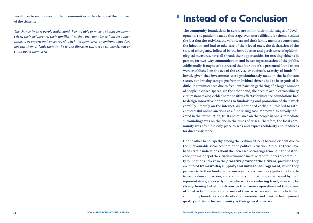would like to see the most in their communities is the change of the mindset of the citizens:

*The change implies people understand they are able to make a change for themselves, their neighbours, their families, i.e., that they are able to fight for something, to be empowered, encouraged to fight for themselves, to confront what does not suit them or leads them in the wrong direction (...) not to sit quietly, but to stand up for themselves.*

# **<sup>8</sup> Instead of a Conclusion**

The community foundations in Serbia are still in their initial stages of development. The pandemic made this stage even more difficult for them. Besides the fact that the activists, the volunteers and their family members contracted the infection and had to take care of their loved ones, the declaration of the state of emergency, followed by the introduction and persistence of epidemiological measures, have all shrunk their opportunities for meeting citizens in person, for two-way communication and better representation of the public. Additionally, it ought to be stressed that four out of six presented foundations were established on the eve of the COVID-19 outbreak. Scarcity of funds followed, given that investments were predominantly made in the healthcare sector. Fundraising campaigns from individual citizens had to be organised in difficult circumstances due to frequent bans on gathering of a larger number of people in closed spaces. On the other hand, the need to act in extraordinary circumstances also yielded some positive effects: for instance, foundations had to design innovative approaches to fundraising and promotion of their work carefully - mainly on the internet. As mentioned earlier, all this led to rather successful online auctions as a fundraising tool. Moreover, as already indicated in the introduction, trust and reliance on the people in one's immediate surroundings was on the rise in the times of crises. Therefore, the local community was often the only place to seek and express solidarity and readiness for direct assistance.

On the other hand, apathy among the Serbian citizens became evident due to the unfavourable socio-economic and political situation. Although there have been certain indications about the increased social engagement in the past decade, the majority of the citizens remained inactive. The founders of community foundations believe in the **proactive power of the citizens**, provided they are offered frameworks, support, and initial encouragement, which they perceive to be their fundamental mission. Lack of trust is a significant obstacle to association and action, and community foundations, as perceived by their representatives, are exactly those who work on restoring trust, especially by strengthening belief of citizens in their own capacities and the power of joint action. Based on the areas of their activities we may conclude that community foundations are development-oriented and identify the improved quality of life in the community as their general objective.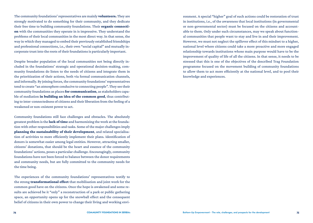The community foundations' representatives are mainly volunteers. They are strongly motivated to do something for their community, and they dedicate their free time to building community foundations. Their organic connection with the communities they operate in is impressive. They understand the problems of their local communities in the most direct way. In that sense, the way in which they managed to embed their previously established friendships and professional connections, i.e., their own "social capital" and mutually incorporate trust into the roots of their foundations is particularly important.

Despite broader population of the local communities not being directly included in the foundations' strategic and operational decision-making, community foundations do listen to the needs of citizens and integrate them in the prioritization of their actions, both via formal communication channels, and informally. By joining forces, the community foundations' representatives tend to create "an atmosphere conducive to connecting people". They see their community foundations as places for communication, as stakeholders capable of mediation in building an idea of the common good, thus contributing to inter-connectedness of citizens and their liberation from the feeling of a weakened or non-existent power to act.

Community foundations still face challenges and obstacles. The absolutely greatest problem is the lack of time and harmonizing the work at the foundation with other responsibilities and tasks. Some of the major challenges imply planning the sustainability of their development, and related specialisation of activities to more efficiently implement their plans. Identification of donors is somewhat easier among legal entities. However, attracting smaller, citizens' donations, that should be the heart and essence of the community foundations' actions, poses a particular challenge. Encouragingly, community foundations have not been forced to balance between the donor requirements and community needs, but are fully committed to the community needs for the time being.

The experiences of the community foundations' representatives testify to the strong transformational effect that mobilisation and joint work for the common good have on the citizens. Once the hope is awakened and some results are achieved be it "only" a reconstruction of a park or public gathering space, an opportunity opens up for the snowball effect and the consequent belief of citizens in their own power to change their living and working envi-

ronment. A special "higher" goal of such actions could be restoration of trust in institutions, i.e., of the awareness that local institutions (in governmental or non-governmental sector) must be focused on the citizens and accountable to them. Only under such circumstances, may we speak about functional communities that people want to stay and live in and their improvement. However, we must not neglect the spillover effect of this mindset to a higher, national level where citizens could take a more proactive and more engaged relationship towards institutions whose main purpose would have to be the improvement of quality of life of all the citizens. In that sense, it needs to be stressed that this is one of the objectives of the described Trag Foundation programme focused on the movement building of community foundations to allow them to act more efficiently at the national level, and to pool their knowledge and experiences.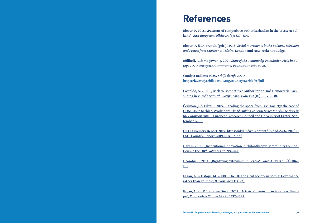## <span id="page-39-0"></span>**References**

Bieber, F. 2018. "Patterns of competitive authoritarianism in the Western Balkans", *East European Politics* 34 (3): 337–354.

Bieber, F. & D. Brentin (prir.). 2018. *Social Movements in the Balkans. Rebellion and Protest from Maribor to Taksim*, London and New York: Routledge.

Böllhoff, A. & Magowan, J. 2021. *State of the Community Foundation Field in Eu rope 2020*, European Community Foundation Initiative.

Catalyst Balkans 2020. *Srbija daruje 2020.* <https://izvestaj.srbijadaruje.org/country/Serbia/rs/full>

Castaldo, A. 2020. "Back to Competitive Authoritarianism? Democratic Backsliding in Vučić's Serbia", *Europe-Asia Studies* 72 (10): 1617–1638.

Ćeriman, J. & Fiket, I. 2019. "Stealing the space from Civil Society: the case of GONGOs in Serbia", Workshop: *The Shrinking of Legal Space for Civil Society in the European Union*, European Research Council and University of Exeter, Sep tember 12–13.

CISCO Country Report 2019. https://nkd.rs/wp-content/uploads/2020/10/SI - CSO-Country-Report-2019-SERBIA.pdf

Daly, S. 2008. "Institutional Innovation in Philanthropy: Community Foundations in the UK", *Voluntas 19*: 219–241.

Dzombic, J. 2014. "Rightwing extremism in Serbia", *Race & Class* 55 (4):106– 110.

Fagan, A. & Ostojic, M. 2008. "The UE and Civil society in Serbia: Governance rather than Politics", *Balkanologie* 11 (1–2).

Fagan, Adam & Indraneel Sircar. 2017. "Activist Citizenship in Southeast Europe", *Europe-Asia Studies* 69 (9): 1337–1345.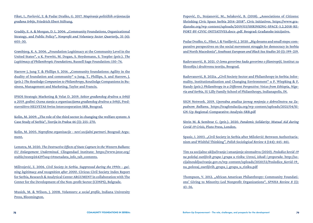Fiket, I., Pavlović, Z. & Pudar Draško, G. 2017. *Mapiranje političkih orijentacija građana Srbije*, Friedrich Ebert Stiftung.

Graddy, E. A. & Morgan, D. L. 2006. "Community Foundations, Organizational Strategy, and Public Policy", *Nonprofit and Voluntary Sector Quarterly*, 35 (4): 605–30.

Grønbjerg, K. A. 2006. "Foundation Legitimacy at the Community Level in the United States", u K. Prewitt, M. Dogan, S. Heydemann, S. Toepler (prir.). *The Legitimacy of Philanthropic Foundations*, Russell Sage Foundation: 150–74.

Harrow J, Jung T. & Phillips S. 2016. "Community foundations: Agility in the duality of foundation and community" u Jung, T., Phillips, S. and Harrow, J. (prir.) *The Routledge Companion to Philanthropy*, Routledge Companions in Business, Management and Marketing, Taylor and Francis.

IPSOS Strategic Marketing & Velat D. 2019. *Sektor građanskog društva u Srbiji u 2019. godini: Ocena stanja u organizacijama građanskog društva u Srbiji*, Predstavništvo HELVETAS Swiss Intercooperation SRB, Beograd.

Kolin, M. 2009. "The role of the third sector in changing the welfare system: A Case Study of Serbia", *Teorija in Praksa* 46 (3): 255–270.

Kolin, M. 2005. *Neprofitne organizacije – novi socijalni partneri*. Beograd: Argument.

Lemstra, M. 2020. *The Destructive Effects of State Capture in the Western Balkans: EU Enlargement Undermined*. Clingendael Institute: https://www.jstor.org/ stable/resrep26429?seq=1#metadata\_info\_tab\_contents.

Milivojević, Z. 2006. *Civil Society in Serbia. Suppressed during the 1990s – gaining legitimacy and recognition after 2000*. Civicus Civil Society Index Report for Serbia, Research & Analytical Center ARGUMENT in collaboration with The Center for the Development of the Non-profit Sector (CDNPS), Belgrade.

Musick, M. & Wilson, J. 2008. *Volunteers: a social profile*, Indiana University Press, Bloomington.

Popović, D., Stojanović, M., Selaković, B. (2018). "Associations of Citizens: Shrinking Civic Space Serbia 2014–2018". Civic Initiatives. https://www.gradjanske.org/wp-content/uploads/2019/03/SHRINKING-SPACE-5.2.2018-RE-PORT-BY-CIVIC-INITIATIVES.docx-.pdf. Beograd: Građanske inicijative.

Pudar Draško, G., Fiket, I. & Vasiljević, J. 2020. "Big dreams and small steps: comparative perspectives on the social movement struggle for democracy in Serbia and North Macedonia", *Southeast European and Black Sea Studies* 20 (1): 199–219.

Radovanović, B. 2021. *O čemu govorimo kada govorimo o filantropiji,* Institut za filozofiju i društvenu teoriju, Beograd.

Radovanović, B. 2021a. "Civil Society Sector and Philanthropy in Serbia: Informality, Institutionalization and Changing Environment" u P. Wiepking & F. Handy (prir.) *Philanthropy in a Different Perspective: Voices from Ethiopia, Nigeria and Serbia*, IU Lilly Family School of Philanthropy, Indianapolis, IN.

SIGN Network. 2019. *Uporedna analiza javnog mnjenja o dobročinstvu na Zapadnom Balkanu*. https://tragfondacija.org/wp-content/uploads/2021/04/SI-GN-Up-Regional-Comparative-Analysis-SRB.pdf

Sitrin M. & Sembrar C. (prir.). 2020. *Pandemic Solidarity: Mutual Aid during Covid-19 Crisis,* Pluto Press, London.

Spasic, I. 2003. "Civil Society in Serbia after Milošević: Between Authoritarianism and Wishful Thinking", *Polish Sociological Review* 4 (144): 445–461.

Tim za socijalno uključivanje i smanjenje siromaštva (2020). *Posledice kovid-19 na položaj osetljivih grupa i grupa u riziku: Uzroci, ishodi i preporuke.* http://socijalnoukljucivanje.gov.rs/wp-content/uploads/2020/12/Posledice\_Kovid-19\_ na\_polozaj\_osetljivih\_grupa\_i\_grupa\_u\_riziku.pdf

Thompson, V. 2012. "African American Philanthropy: Community Foundations' Giving to Minority-Led Nonprofit Organizations", *SPNHA Review 8* (1): 43–56.